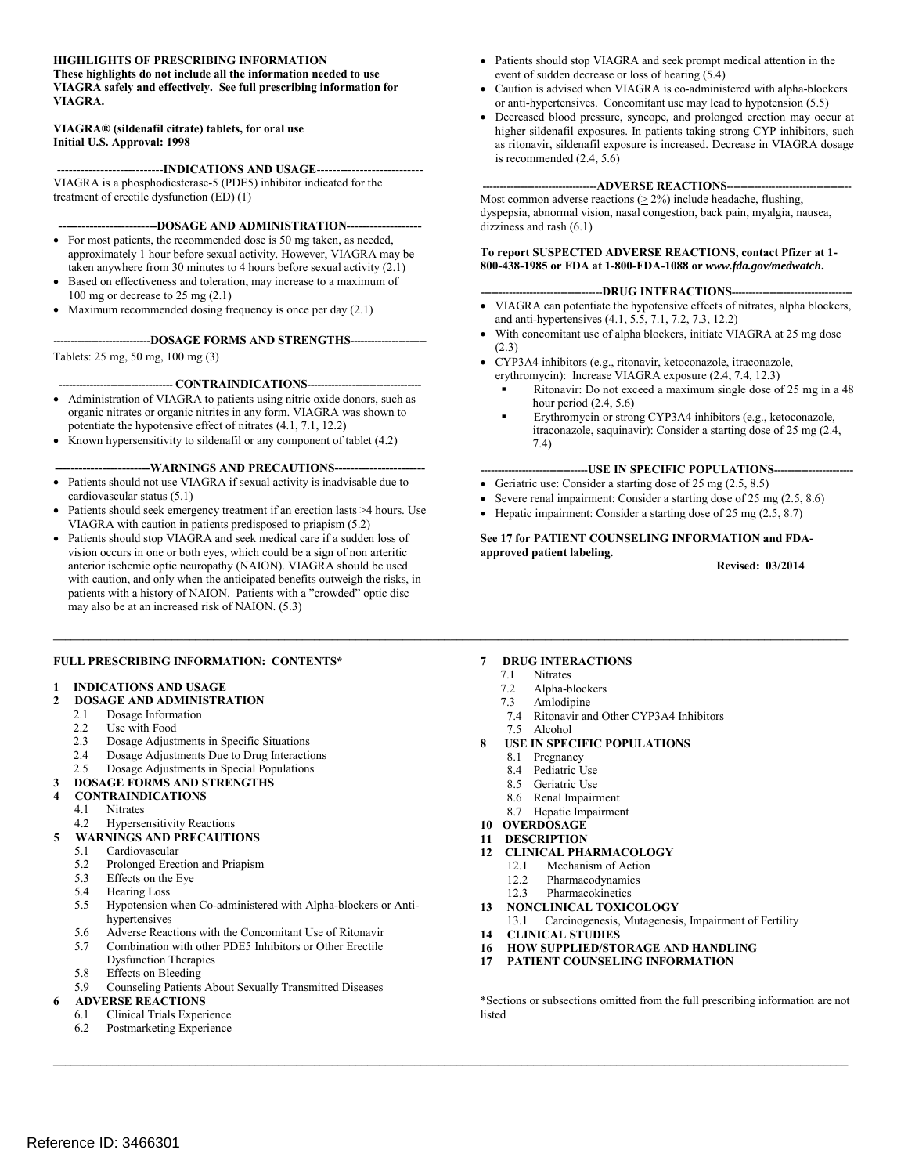#### **HIGHLIGHTS OF PRESCRIBING INFORMATION**

 **VIAGRA safely and effectively. See full prescribing information for These highlights do not include all the information needed to use VIAGRA.** 

#### **VIAGRA® (sildenafil citrate) tablets, for oral use Initial U.S. Approval: 1998**

 treatment of erectile dysfunction (ED) (1) ---------------------------**INDICATIONS AND USAGE**--------------------------- VIAGRA is a phosphodiesterase-5 (PDE5) inhibitor indicated for the

#### **-------------------------DOSAGE AND ADMINISTRATION-------------------**

- approximately 1 hour before sexual activity. However, VIAGRA may be taken anywhere from 30 minutes to 4 hours before sexual activity (2.1) • For most patients, the recommended dose is 50 mg taken, as needed,
- 100 mg or decrease to 25 mg (2.1) Based on effectiveness and toleration, may increase to a maximum of
- Maximum recommended dosing frequency is once per day  $(2.1)$

**----------------------------DOSAGE FORMS AND STRENGTHS----------------------**

Tablets: 25 mg, 50 mg, 100 mg (3)

#### -- **CONTRAINDICATIONS---**

- Administration of VIAGRA to patients using nitric oxide donors, such as organic nitrates or organic nitrites in any form. VIAGRA was shown to potentiate the hypotensive effect of nitrates (4.1, 7.1, 12.2)
- Known hypersensitivity to sildenafil or any component of tablet (4.2)

#### ----WARNINGS AND PRECAUTIONS----

- Patients should not use VIAGRA if sexual activity is inadvisable due to cardiovascular status (5.1)
- Patients should seek emergency treatment if an erection lasts >4 hours. Use VIAGRA with caution in patients predisposed to priapism (5.2)
- vision occurs in one or both eyes, which could be a sign of non arteritic with caution, and only when the anticipated benefits outweigh the risks, in patients with a history of NAION. Patients with a "crowded" optic disc may also be at an increased risk of NAION. (5.3) • Patients should stop VIAGRA and seek medical care if a sudden loss of anterior ischemic optic neuropathy (NAION). VIAGRA should be used

#### **FULL PRESCRIBING INFORMATION: CONTENTS\***

#### **1 INDICATIONS AND USAGE**

#### **2 DOSAGE AND ADMINISTRATION**

- 2.1 Dosage Information
	-
	- 2.2 Use with Food<br>2.3 Dosage Adjust Dosage Adjustments in Specific Situations
	- 2.4 Dosage Adjustments Due to Drug Interactions
	- 2.5 Dosage Adjustments in Special Populations
- **3 DOSAGE FORMS AND STRENGTHS**
- **4 CONTRAINDICATIONS** 
	- 4.1 **Nitrates**
	- 4.2 Hypersensitivity Reactions
- **5 WARNINGS AND PRECAUTIONS** 
	- 5.1 Cardiovascular
	- $5.2$ Prolonged Erection and Priapism
	- 5.3 Effects on the Eye
	- 5.4 Hearing Loss
	- 5.5 Hypotension when Co-administered with Alpha-blockers or Antihypertensives
	- 5.6 Adverse Reactions with the Concomitant Use of Ritonavir
	- 5.7 Combination with other PDE5 Inhibitors or Other Erectile
	- Dysfunction Therapies
	- Effects on Bleeding
	- $\frac{5.8}{5.9}$ 5.9 Counseling Patients About Sexually Transmitted Diseases
- **6 ADVERSE REACTIONS** 
	- 6.1 Clinical Trials Experience
		- 6.2 Postmarketing Experience
- Patients should stop VIAGRA and seek prompt medical attention in the event of sudden decrease or loss of hearing (5.4)
- or anti-hypertensives. Concomitant use may lead to hypotension (5.5) Caution is advised when VIAGRA is co-administered with alpha-blockers
- • Decreased blood pressure, syncope, and prolonged erection may occur at higher sildenafil exposures. In patients taking strong CYP inhibitors, such as ritonavir, sildenafil exposure is increased. Decrease in VIAGRA dosage is recommended (2.4, 5.6)

#### ----ADVERSE REACTIONS---

Most common adverse reactions  $(\geq 2\%)$  include headache, flushing, dyspepsia, abnormal vision, nasal congestion, back pain, myalgia, nausea, dizziness and rash (6.1)

#### **To report SUSPECTED ADVERSE REACTIONS, contact Pfizer at 1- 800-438-1985 or FDA at 1-800-FDA-1088 or** *[www.fda.gov/medwatch](http://www.fda.gov/medwatch)***.**

#### **-----------------------------------DRUG INTERACTIONS-----------------------------------**

- VIAGRA can potentiate the hypotensive effects of nitrates, alpha blockers, and anti-hypertensives (4.1, 5.5, 7.1, 7.2, 7.3, 12.2)
- With concomitant use of alpha blockers, initiate VIAGRA at 25 mg dose (2.3)
- erythromycin): Increase VIAGRA exposure (2.4, 7.4, 12.3) • CYP3A4 inhibitors (e.g., ritonavir, ketoconazole, itraconazole,
	- Ritonavir: Do not exceed a maximum single dose of 25 mg in a 48 hour period (2.4, 5.6)
	- **Erythromycin or strong CYP3A4 inhibitors (e.g., ketoconazole,** itraconazole, saquinavir): Consider a starting dose of 25 mg (2.4, 7.4)

#### -USE IN SPECIFIC POPULATIONS-

- Geriatric use: Consider a starting dose of 25 mg (2.5, 8.5)
- Severe renal impairment: Consider a starting dose of 25 mg (2.5, 8.6)
- Hepatic impairment: Consider a starting dose of 25 mg (2.5, 8.7)

 **See 17 for PATIENT COUNSELING INFORMATION and FDAapproved patient labeling.** 

**Revised: 03/2014** 

#### **7 DRUG INTERACTIONS**

 $71$ **Nitrates** 

**\_\_\_\_\_\_\_\_\_\_\_\_\_\_\_\_\_\_\_\_\_\_\_\_\_\_\_\_\_\_\_\_\_\_\_\_\_\_\_\_\_\_\_\_\_\_\_\_\_\_\_\_\_\_\_\_\_\_\_\_\_\_\_\_\_\_\_\_\_\_\_\_\_\_\_\_\_\_\_\_\_\_\_\_\_\_\_\_\_\_\_\_\_\_\_\_\_\_\_\_\_\_\_\_\_\_\_\_\_\_\_\_\_\_\_\_\_\_\_\_\_\_\_\_\_\_\_\_\_\_\_\_\_\_** 

**\_\_\_\_\_\_\_\_\_\_\_\_\_\_\_\_\_\_\_\_\_\_\_\_\_\_\_\_\_\_\_\_\_\_\_\_\_\_\_\_\_\_\_\_\_\_\_\_\_\_\_\_\_\_\_\_\_\_\_\_\_\_\_\_\_\_\_\_\_\_\_\_\_\_\_\_\_\_\_\_\_\_\_\_\_\_\_\_\_\_\_\_\_\_\_\_\_\_\_\_\_\_\_\_\_\_\_\_\_\_\_\_\_\_\_\_\_\_\_\_\_\_\_\_\_\_\_\_\_\_\_\_\_\_** 

- 7.2 Alpha-blockers
- 7.3 Amlodipine<br>7.4 Ritonavir an
- Ritonavir and Other CYP3A4 Inhibitors
- $7.5$ Alcohol
- **8 USE IN SPECIFIC POPULATIONS** 
	- 8.1 Pregnancy
	- 8.4 Pediatric Use<br>8.5 Geriatric Use
	- Geriatric Use
	- 8.6 Renal Impairment
	- 8.7 Hepatic Impairment
- **10 OVERDOSAGE**
- **11 DESCRIPTION**
- **12 CLINICAL PHARMACOLOGY**<br>12.1 Mechanism of Action
	- Mechanism of Action
	- 12.2 Pharmacodynamics
	- 12.3 Pharmacokinetics
- **13 NONCLINICAL TOXICOLOGY**<br> **13 1 Carcinogenesis Mutagenesis** Carcinogenesis, Mutagenesis, Impairment of Fertility
- 
- **14 CLINICAL STUDIES**
- **16 HOW SUPPLIED/STORAGE AND HANDLING**
- **17 PATIENT COUNSELING INFORMATION**

 \*Sections or subsections omitted from the full prescribing information are not listed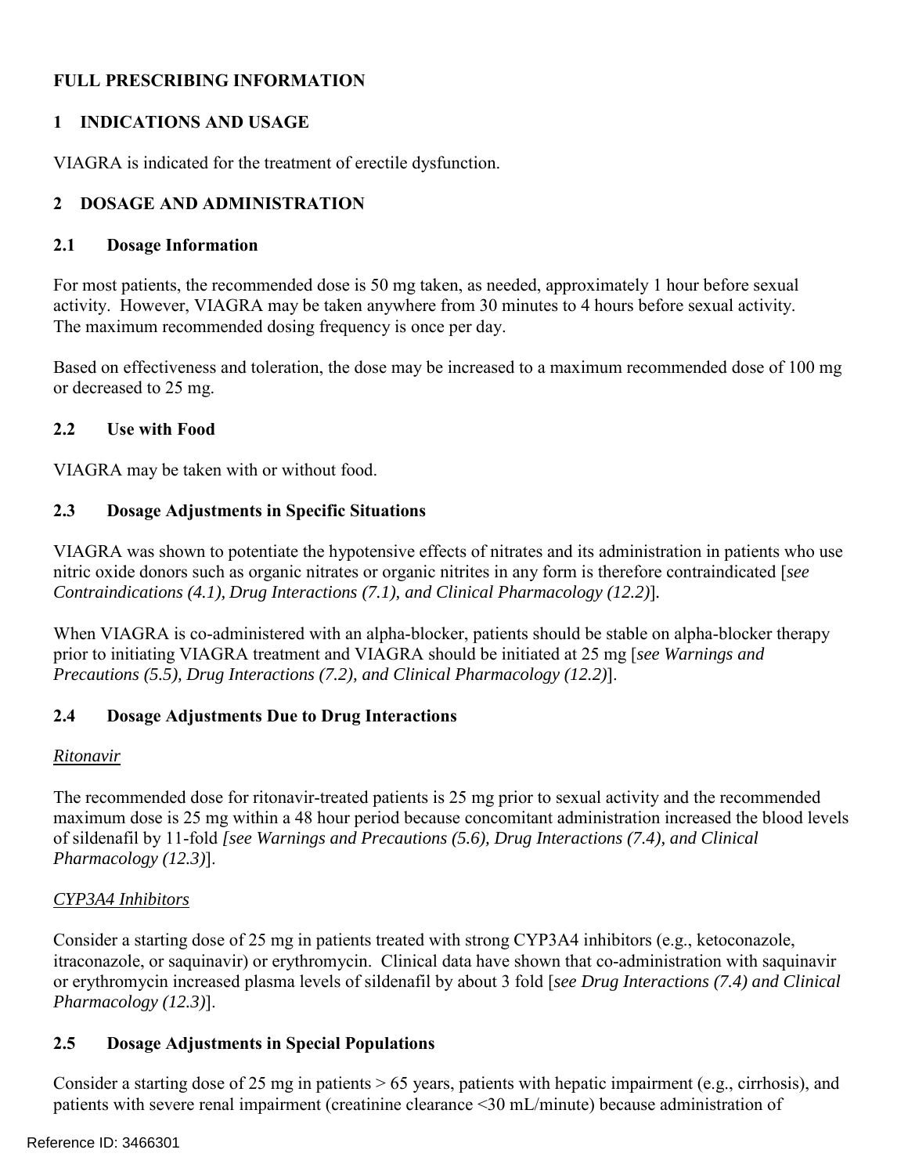## **FULL PRESCRIBING INFORMATION**

#### **1 INDICATIONS AND USAGE**

VIAGRA is indicated for the treatment of erectile dysfunction.

## **2 DOSAGE AND ADMINISTRATION 2.1 Dosage Information**

 activity. However, VIAGRA may be taken anywhere from 30 minutes to 4 hours before sexual activity. The maximum recommended dosing frequency is once per day. For most patients, the recommended dose is 50 mg taken, as needed, approximately 1 hour before sexual

Based on effectiveness and toleration, the dose may be increased to a maximum recommended dose of 100 mg or decreased to 25 mg.

#### **2.2 Use with Food**

VIAGRA may be taken with or without food.

#### **2.3 Dosage Adjustments in Specific Situations**

 nitric oxide donors such as organic nitrates or organic nitrites in any form is therefore contraindicated [*see Contraindications (4.1), Drug Interactions (7.1), and Clinical Pharmacology (12.2)*]*.*  VIAGRA was shown to potentiate the hypotensive effects of nitrates and its administration in patients who use

When VIAGRA is co-administered with an alpha-blocker, patients should be stable on alpha-blocker therapy prior to initiating VIAGRA treatment and VIAGRA should be initiated at 25 mg [*see Warnings and Precautions (5.5), Drug Interactions (7.2), and Clinical Pharmacology (12.2)*].

#### **2.4 Dosage Adjustments Due to Drug Interactions**

#### *Ritonavir*

 maximum dose is 25 mg within a 48 hour period because concomitant administration increased the blood levels The recommended dose for ritonavir-treated patients is 25 mg prior to sexual activity and the recommended of sildenafil by 11-fold *[see Warnings and Precautions (5.6), Drug Interactions (7.4), and Clinical Pharmacology (12.3)*].

## *CYP3A4 Inhibitors*

Consider a starting dose of 25 mg in patients treated with strong CYP3A4 inhibitors (e.g., ketoconazole, itraconazole, or saquinavir) or erythromycin. Clinical data have shown that co-administration with saquinavir or erythromycin increased plasma levels of sildenafil by about 3 fold [*see Drug Interactions (7.4) and Clinical Pharmacology (12.3)*].

## **2.5 Dosage Adjustments in Special Populations**

 Consider a starting dose of 25 mg in patients > 65 years, patients with hepatic impairment (e.g., cirrhosis), and patients with severe renal impairment (creatinine clearance <30 mL/minute) because administration of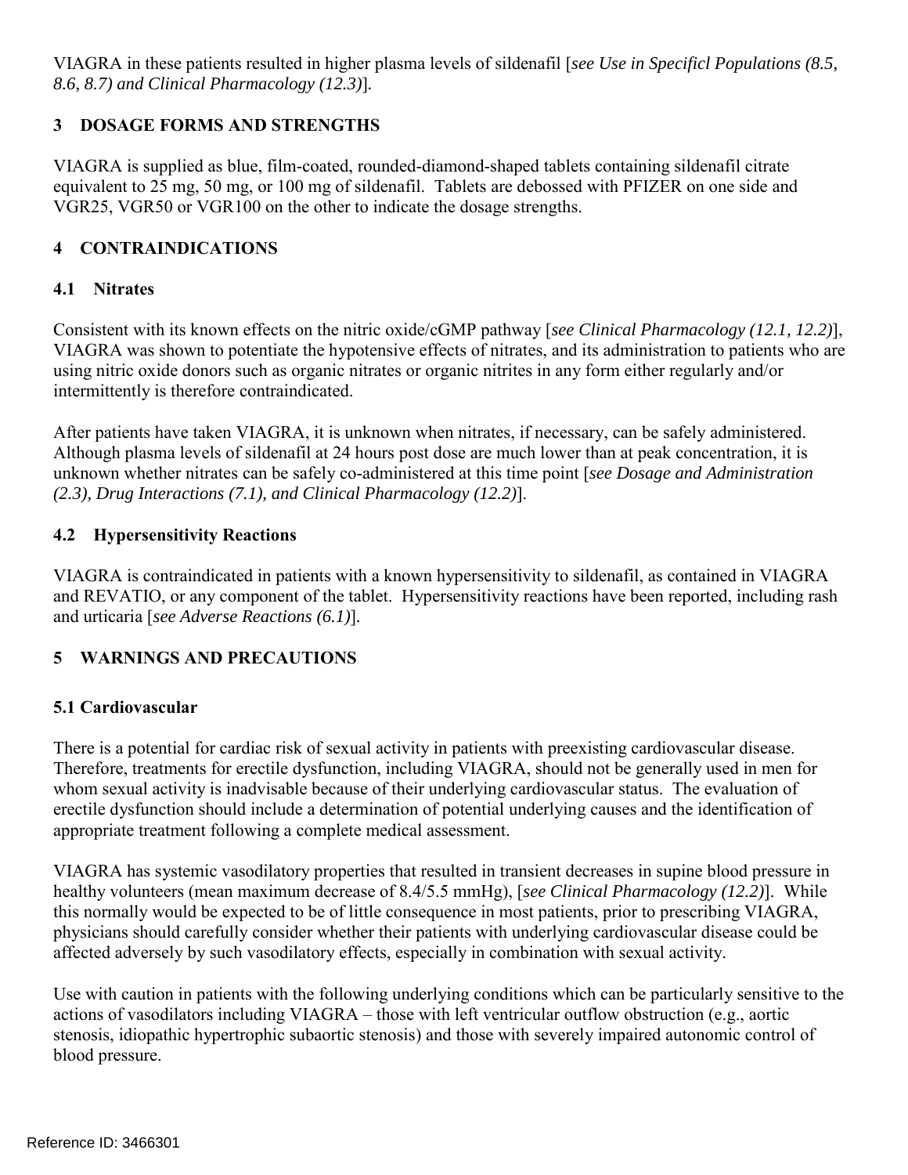*8.6, 8.7) and Clinical Pharmacology (12.3)*]*.*  VIAGRA in these patients resulted in higher plasma levels of sildenafil [*see Use in Specificl Populations (8.5,* 

## **3 DOSAGE FORMS AND STRENGTHS**

 VIAGRA is supplied as blue, film-coated, rounded-diamond-shaped tablets containing sildenafil citrate equivalent to 25 mg, 50 mg, or 100 mg of sildenafil. Tablets are debossed with PFIZER on one side and VGR25, VGR50 or VGR100 on the other to indicate the dosage strengths.

## **4 CONTRAINDICATIONS**

## **4.1 Nitrates**

 Consistent with its known effects on the nitric oxide/cGMP pathway [*see Clinical Pharmacology (12.1, 12.2)*], using nitric oxide donors such as organic nitrates or organic nitrites in any form either regularly and/or VIAGRA was shown to potentiate the hypotensive effects of nitrates, and its administration to patients who are intermittently is therefore contraindicated.

After patients have taken VIAGRA, it is unknown when nitrates, if necessary, can be safely administered. Although plasma levels of sildenafil at 24 hours post dose are much lower than at peak concentration, it is unknown whether nitrates can be safely co-administered at this time point [*see Dosage and Administration (2.3), Drug Interactions (7.1), and Clinical Pharmacology (12.2)*].

## **4.2 Hypersensitivity Reactions**

 and REVATIO, or any component of the tablet. Hypersensitivity reactions have been reported, including rash  and urticaria [*see Adverse Reactions (6.1)*]*.*  VIAGRA is contraindicated in patients with a known hypersensitivity to sildenafil, as contained in VIAGRA

## **5 WARNINGS AND PRECAUTIONS**

## **5.1 Cardiovascular**

 whom sexual activity is inadvisable because of their underlying cardiovascular status. The evaluation of There is a potential for cardiac risk of sexual activity in patients with preexisting cardiovascular disease. Therefore, treatments for erectile dysfunction, including VIAGRA, should not be generally used in men for erectile dysfunction should include a determination of potential underlying causes and the identification of appropriate treatment following a complete medical assessment.

VIAGRA has systemic vasodilatory properties that resulted in transient decreases in supine blood pressure in healthy volunteers (mean maximum decrease of 8.4/5.5 mmHg), [*see Clinical Pharmacology (12.2)*]. While this normally would be expected to be of little consequence in most patients, prior to prescribing VIAGRA, physicians should carefully consider whether their patients with underlying cardiovascular disease could be affected adversely by such vasodilatory effects, especially in combination with sexual activity.

 Use with caution in patients with the following underlying conditions which can be particularly sensitive to the actions of vasodilators including VIAGRA – those with left ventricular outflow obstruction (e.g., aortic stenosis, idiopathic hypertrophic subaortic stenosis) and those with severely impaired autonomic control of blood pressure.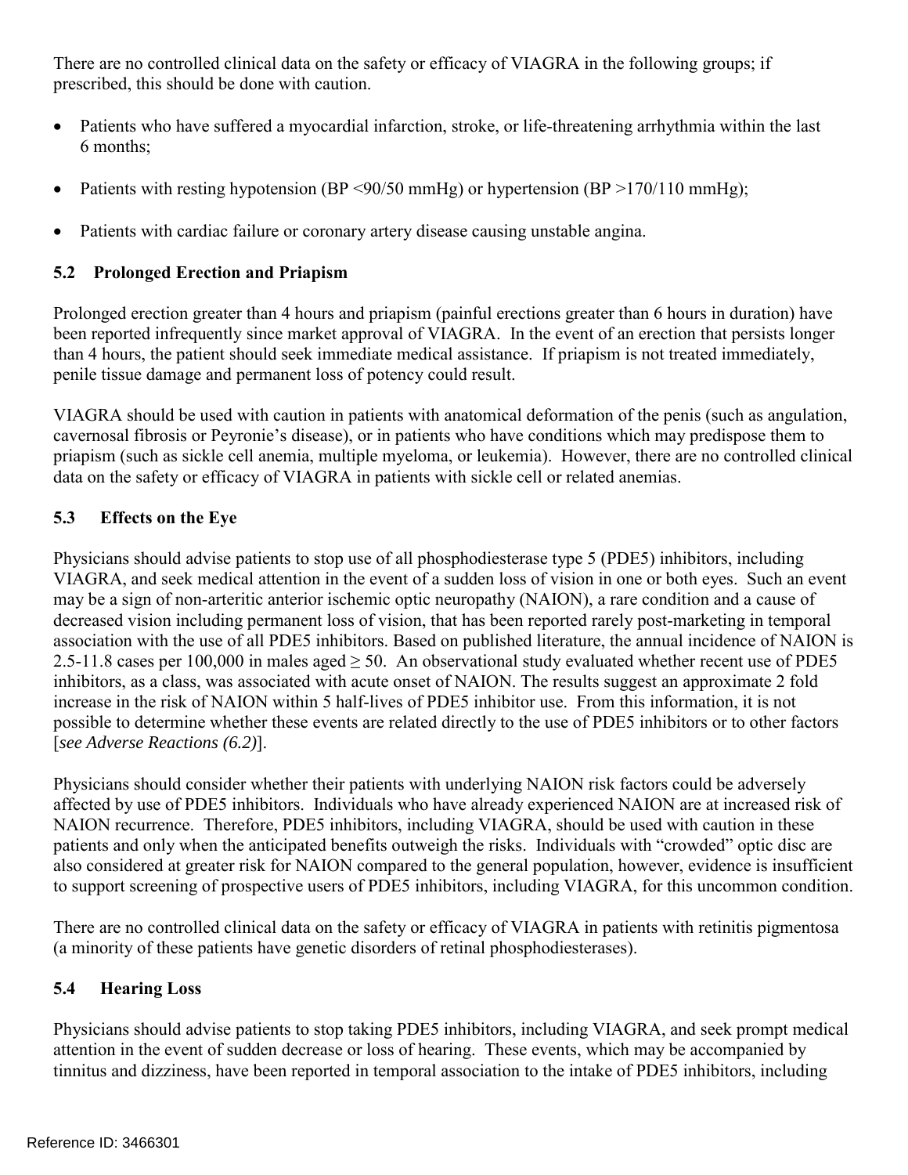There are no controlled clinical data on the safety or efficacy of VIAGRA in the following groups; if prescribed, this should be done with caution.

- 6 months; • Patients who have suffered a myocardial infarction, stroke, or life-threatening arrhythmia within the last
- Patients with resting hypotension (BP <90/50 mmHg) or hypertension (BP >170/110 mmHg);
- • Patients with cardiac failure or coronary artery disease causing unstable angina.

## **5.2 Prolonged Erection and Priapism**

 Prolonged erection greater than 4 hours and priapism (painful erections greater than 6 hours in duration) have been reported infrequently since market approval of VIAGRA. In the event of an erection that persists longer penile tissue damage and permanent loss of potency could result. than 4 hours, the patient should seek immediate medical assistance. If priapism is not treated immediately,

 priapism (such as sickle cell anemia, multiple myeloma, or leukemia). However, there are no controlled clinical VIAGRA should be used with caution in patients with anatomical deformation of the penis (such as angulation, cavernosal fibrosis or Peyronie's disease), or in patients who have conditions which may predispose them to data on the safety or efficacy of VIAGRA in patients with sickle cell or related anemias.

## **5.3 Effects on the Eye**

 increase in the risk of NAION within 5 half-lives of PDE5 inhibitor use. From this information, it is not possible to determine whether these events are related directly to the use of PDE5 inhibitors or to other factors Physicians should advise patients to stop use of all phosphodiesterase type 5 (PDE5) inhibitors, including VIAGRA, and seek medical attention in the event of a sudden loss of vision in one or both eyes. Such an event may be a sign of non-arteritic anterior ischemic optic neuropathy (NAION), a rare condition and a cause of decreased vision including permanent loss of vision, that has been reported rarely post-marketing in temporal association with the use of all PDE5 inhibitors. Based on published literature, the annual incidence of NAION is 2.5-11.8 cases per 100,000 in males aged  $\geq$  50. An observational study evaluated whether recent use of PDE5 inhibitors, as a class, was associated with acute onset of NAION. The results suggest an approximate 2 fold [*see Adverse Reactions (6.2)*].

 Physicians should consider whether their patients with underlying NAION risk factors could be adversely patients and only when the anticipated benefits outweigh the risks. Individuals with "crowded" optic disc are affected by use of PDE5 inhibitors. Individuals who have already experienced NAION are at increased risk of NAION recurrence. Therefore, PDE5 inhibitors, including VIAGRA, should be used with caution in these also considered at greater risk for NAION compared to the general population, however, evidence is insufficient to support screening of prospective users of PDE5 inhibitors, including VIAGRA, for this uncommon condition.

 There are no controlled clinical data on the safety or efficacy of VIAGRA in patients with retinitis pigmentosa (a minority of these patients have genetic disorders of retinal phosphodiesterases).

#### **5.4 Hearing Loss**

Physicians should advise patients to stop taking PDE5 inhibitors, including VIAGRA, and seek prompt medical attention in the event of sudden decrease or loss of hearing. These events, which may be accompanied by tinnitus and dizziness, have been reported in temporal association to the intake of PDE5 inhibitors, including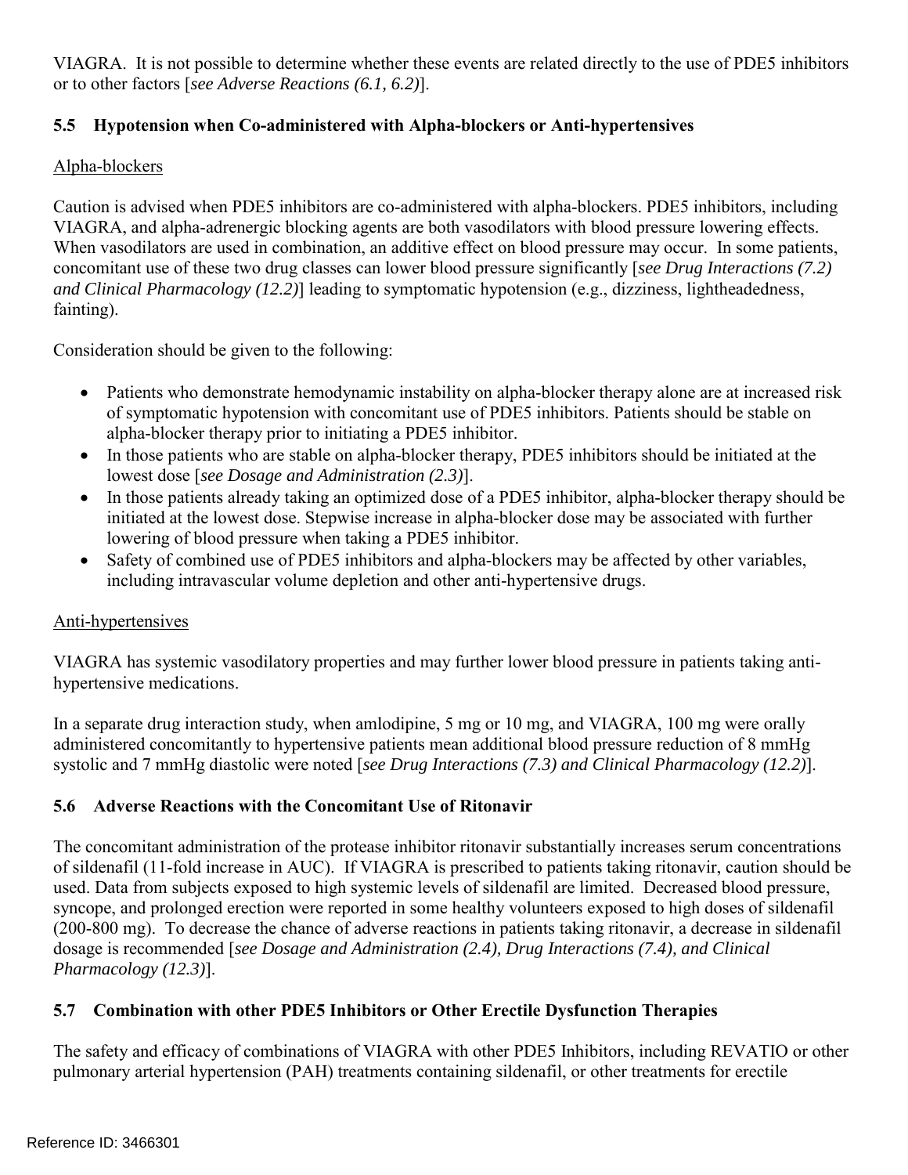VIAGRA. It is not possible to determine whether these events are related directly to the use of PDE5 inhibitors or to other factors [*see Adverse Reactions (6.1, 6.2)*].

## **5.5 Hypotension when Co-administered with Alpha-blockers or Anti-hypertensives**

## Alpha-blockers

 When vasodilators are used in combination, an additive effect on blood pressure may occur. In some patients, concomitant use of these two drug classes can lower blood pressure significantly [*see Drug Interactions (7.2)*  Caution is advised when PDE5 inhibitors are co-administered with alpha-blockers. PDE5 inhibitors, including VIAGRA, and alpha-adrenergic blocking agents are both vasodilators with blood pressure lowering effects. *and Clinical Pharmacology (12.2)*] leading to symptomatic hypotension (e.g., dizziness, lightheadedness, fainting).

Consideration should be given to the following:

- Patients who demonstrate hemodynamic instability on alpha-blocker therapy alone are at increased risk of symptomatic hypotension with concomitant use of PDE5 inhibitors. Patients should be stable on alpha-blocker therapy prior to initiating a PDE5 inhibitor.
- In those patients who are stable on alpha-blocker therapy, PDE5 inhibitors should be initiated at the lowest dose [*see Dosage and Administration (2.3)*].
- In those patients already taking an optimized dose of a PDE5 inhibitor, alpha-blocker therapy should be initiated at the lowest dose. Stepwise increase in alpha-blocker dose may be associated with further lowering of blood pressure when taking a PDE5 inhibitor.
- Safety of combined use of PDE5 inhibitors and alpha-blockers may be affected by other variables, including intravascular volume depletion and other anti-hypertensive drugs.

## Anti-hypertensives

 VIAGRA has systemic vasodilatory properties and may further lower blood pressure in patients taking antihypertensive medications.

 In a separate drug interaction study, when amlodipine, 5 mg or 10 mg, and VIAGRA, 100 mg were orally  systolic and 7 mmHg diastolic were noted [*see Drug Interactions (7.3) and Clinical Pharmacology (12.2)*]. administered concomitantly to hypertensive patients mean additional blood pressure reduction of 8 mmHg

## **5.6 Adverse Reactions with the Concomitant Use of Ritonavir**

 of sildenafil (11-fold increase in AUC). If VIAGRA is prescribed to patients taking ritonavir, caution should be (200-800 mg). To decrease the chance of adverse reactions in patients taking ritonavir, a decrease in sildenafil The concomitant administration of the protease inhibitor ritonavir substantially increases serum concentrations used. Data from subjects exposed to high systemic levels of sildenafil are limited. Decreased blood pressure, syncope, and prolonged erection were reported in some healthy volunteers exposed to high doses of sildenafil dosage is recommended [*see Dosage and Administration (2.4), Drug Interactions (7.4), and Clinical Pharmacology (12.3)*].

## **5.7 Combination with other PDE5 Inhibitors or Other Erectile Dysfunction Therapies**

The safety and efficacy of combinations of VIAGRA with other PDE5 Inhibitors, including REVATIO or other pulmonary arterial hypertension (PAH) treatments containing sildenafil, or other treatments for erectile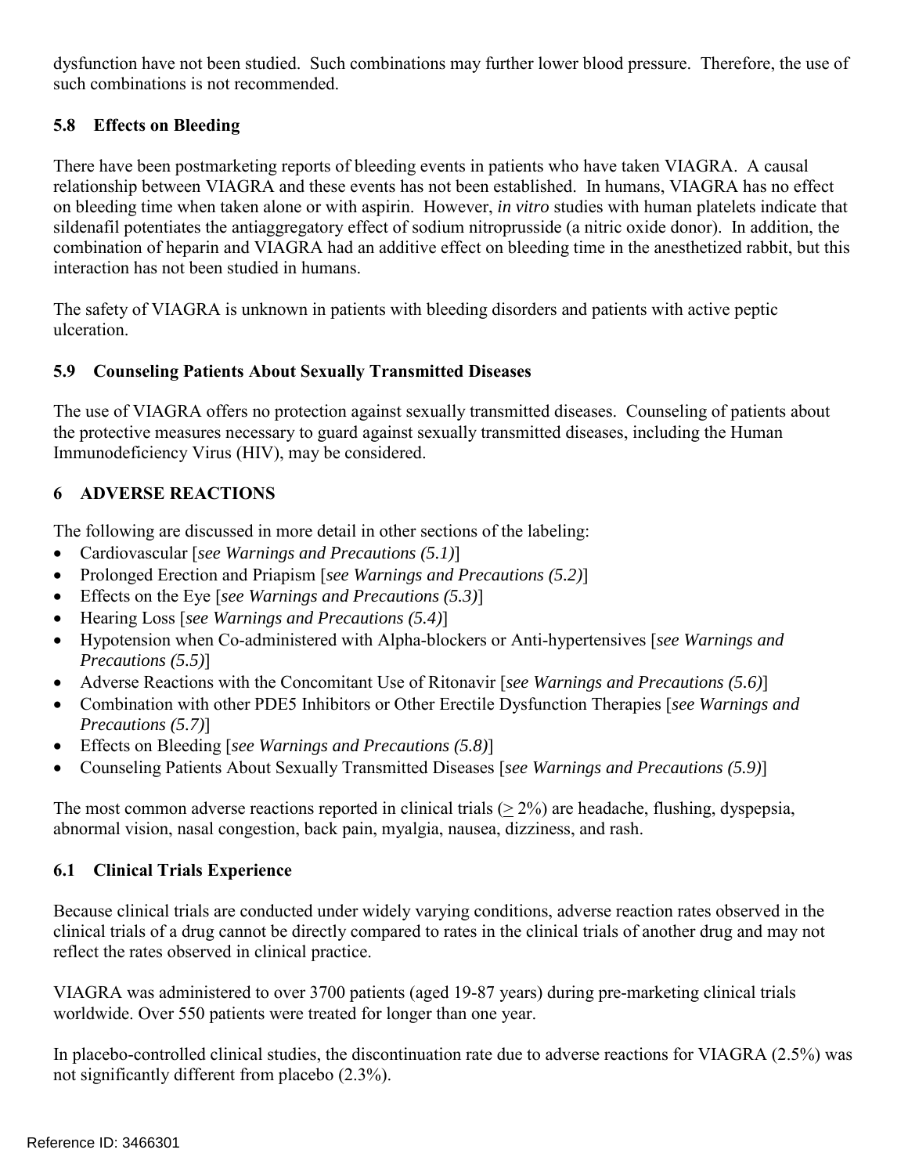dysfunction have not been studied. Such combinations may further lower blood pressure. Therefore, the use of such combinations is not recommended.

## **5.8 Effects on Bleeding**

 There have been postmarketing reports of bleeding events in patients who have taken VIAGRA. A causal relationship between VIAGRA and these events has not been established. In humans, VIAGRA has no effect on bleeding time when taken alone or with aspirin. However, *in vitro* studies with human platelets indicate that sildenafil potentiates the antiaggregatory effect of sodium nitroprusside (a nitric oxide donor). In addition, the combination of heparin and VIAGRA had an additive effect on bleeding time in the anesthetized rabbit, but this interaction has not been studied in humans.

The safety of VIAGRA is unknown in patients with bleeding disorders and patients with active peptic ulceration.

## **5.9 Counseling Patients About Sexually Transmitted Diseases**

The use of VIAGRA offers no protection against sexually transmitted diseases. Counseling of patients about the protective measures necessary to guard against sexually transmitted diseases, including the Human Immunodeficiency Virus (HIV), may be considered.

## **6 ADVERSE REACTIONS**

The following are discussed in more detail in other sections of the labeling:

- • Cardiovascular [*see Warnings and Precautions (5.1)*]
- • Prolonged Erection and Priapism [*see Warnings and Precautions (5.2)*]
- • Effects on the Eye [*see Warnings and Precautions (5.3)*]
- • Hearing Loss [*see Warnings and Precautions (5.4)*]
- • Hypotension when Co-administered with Alpha-blockers or Anti-hypertensives [*see Warnings and Precautions (5.5)*]
- Adverse Reactions with the Concomitant Use of Ritonavir [*see Warnings and Precautions* (5.6)]
- • Combination with other PDE5 Inhibitors or Other Erectile Dysfunction Therapies [*see Warnings and Precautions (5.7)*]
- • Effects on Bleeding [*see Warnings and Precautions (5.8)*]
- • Counseling Patients About Sexually Transmitted Diseases [*see Warnings and Precautions (5.9)*]

The most common adverse reactions reported in clinical trials  $(2\%)$  are headache, flushing, dyspepsia, abnormal vision, nasal congestion, back pain, myalgia, nausea, dizziness, and rash.

## **6.1 Clinical Trials Experience**

 clinical trials of a drug cannot be directly compared to rates in the clinical trials of another drug and may not Because clinical trials are conducted under widely varying conditions, adverse reaction rates observed in the reflect the rates observed in clinical practice.

 VIAGRA was administered to over 3700 patients (aged 19-87 years) during pre-marketing clinical trials worldwide. Over 550 patients were treated for longer than one year.

In placebo-controlled clinical studies, the discontinuation rate due to adverse reactions for VIAGRA (2.5%) was not significantly different from placebo (2.3%).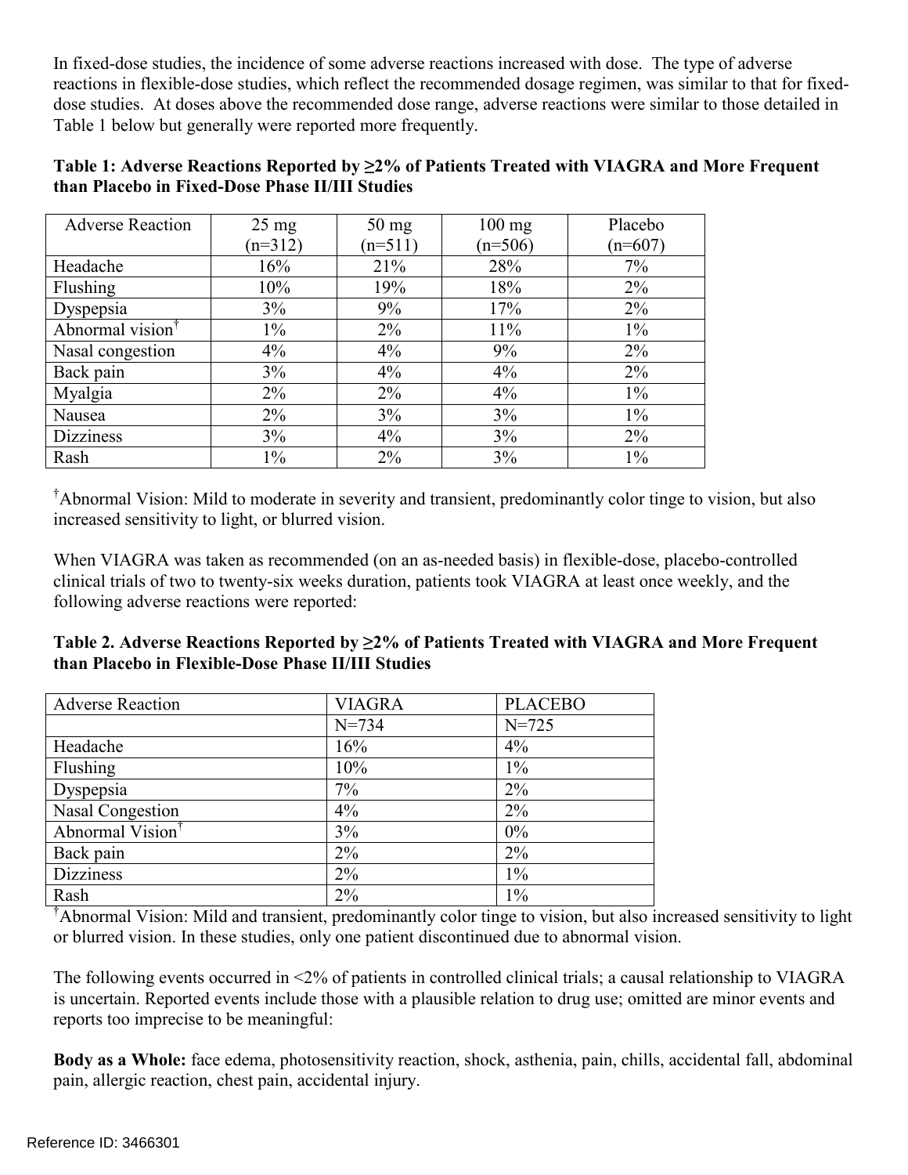In fixed-dose studies, the incidence of some adverse reactions increased with dose. The type of adverse dose studies. At doses above the recommended dose range, adverse reactions were similar to those detailed in reactions in flexible-dose studies, which reflect the recommended dosage regimen, was similar to that for fixed-Table 1 below but generally were reported more frequently.

| <b>Adverse Reaction</b> | $25 \text{ mg}$ | $50 \text{ mg}$ | $100$ mg  | Placebo   |  |
|-------------------------|-----------------|-----------------|-----------|-----------|--|
|                         | $(n=312)$       | $(n=511)$       | $(n=506)$ | $(n=607)$ |  |
| Headache                | 16%             | 21%             | 28%       | 7%        |  |
| Flushing                | 10%             | 19%             | 18%       | $2\%$     |  |
| Dyspepsia               | 3%              | 9%              | 17%       | $2\%$     |  |
| Abnormal vision         | $1\%$           | $2\%$           | 11%       | $1\%$     |  |
| Nasal congestion        | $4\%$           | 4%              | 9%        | $2\%$     |  |
| Back pain               | 3%              | 4%              | 4%        | $2\%$     |  |
| Myalgia                 | $2\%$           | $2\%$           | $4\%$     | $1\%$     |  |
| Nausea                  | $2\%$           | 3%              | 3%        | $1\%$     |  |
| <b>Dizziness</b>        | 3%              | 4%              | 3%        | $2\%$     |  |
| Rash                    | $1\%$           | $2\%$           | 3%        | $1\%$     |  |

#### **Table 1: Adverse Reactions Reported by ≥2% of Patients Treated with VIAGRA and More Frequent than Placebo in Fixed-Dose Phase II/III Studies**

† Abnormal Vision: Mild to moderate in severity and transient, predominantly color tinge to vision, but also increased sensitivity to light, or blurred vision.

When VIAGRA was taken as recommended (on an as-needed basis) in flexible-dose, placebo-controlled clinical trials of two to twenty-six weeks duration, patients took VIAGRA at least once weekly, and the following adverse reactions were reported:

#### **Table 2. Adverse Reactions Reported by ≥2% of Patients Treated with VIAGRA and More Frequent than Placebo in Flexible-Dose Phase II/III Studies**

| <b>Adverse Reaction</b>      | <b>VIAGRA</b> | <b>PLACEBO</b> |
|------------------------------|---------------|----------------|
|                              | $N = 734$     | $N = 725$      |
| Headache                     | 16%           | 4%             |
| Flushing                     | 10%           | $1\%$          |
| Dyspepsia                    | 7%            | $2\%$          |
| Nasal Congestion             | 4%            | $2\%$          |
| Abnormal Vision <sup>†</sup> | 3%            | $0\%$          |
| Back pain                    | $2\%$         | 2%             |
| <b>Dizziness</b>             | $2\%$         | $1\%$          |
| Rash                         | 2%            | $1\%$          |

† Abnormal Vision: Mild and transient, predominantly color tinge to vision, but also increased sensitivity to light or blurred vision. In these studies, only one patient discontinued due to abnormal vision.

The following events occurred in <2% of patients in controlled clinical trials; a causal relationship to VIAGRA is uncertain. Reported events include those with a plausible relation to drug use; omitted are minor events and reports too imprecise to be meaningful:

**Body as a Whole:** face edema, photosensitivity reaction, shock, asthenia, pain, chills, accidental fall, abdominal pain, allergic reaction, chest pain, accidental injury.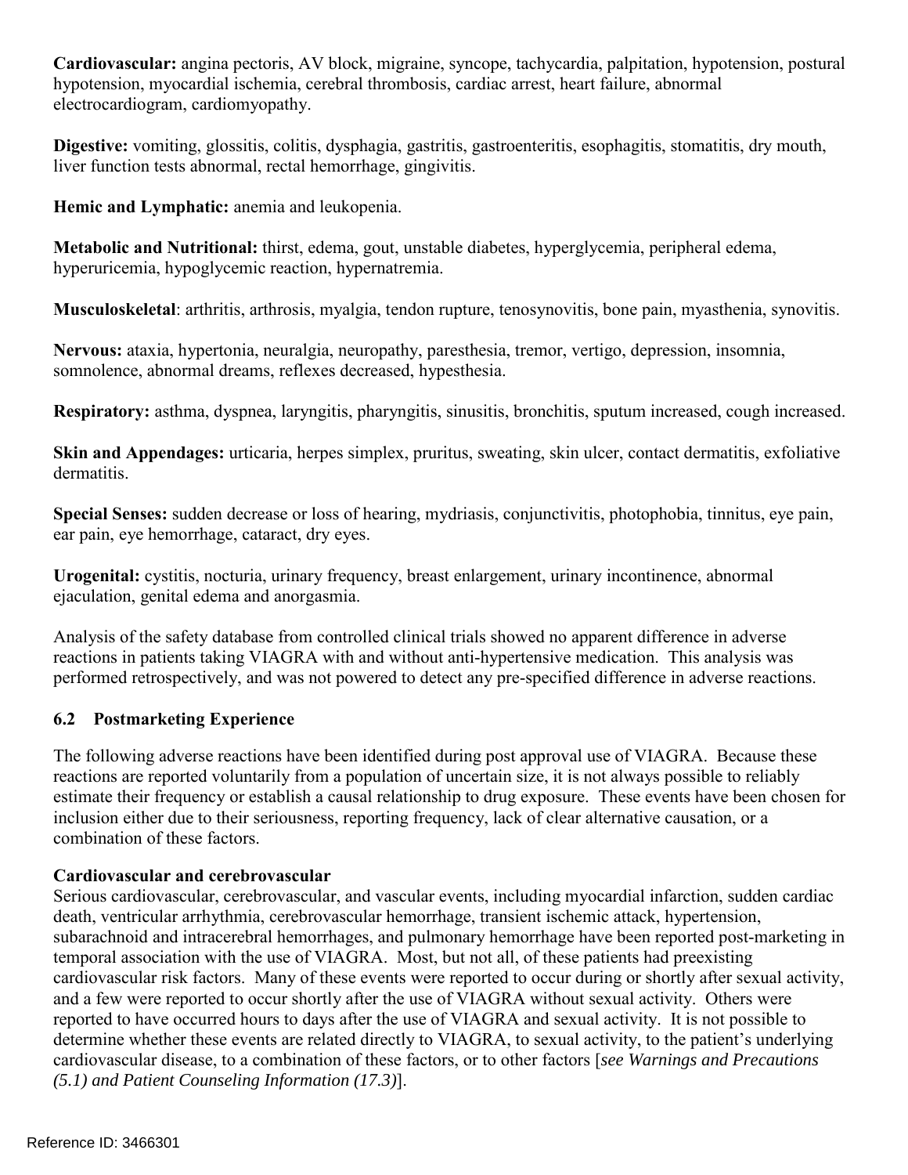**Cardiovascular:** angina pectoris, AV block, migraine, syncope, tachycardia, palpitation, hypotension, postural hypotension, myocardial ischemia, cerebral thrombosis, cardiac arrest, heart failure, abnormal electrocardiogram, cardiomyopathy.

 **Digestive:** vomiting, glossitis, colitis, dysphagia, gastritis, gastroenteritis, esophagitis, stomatitis, dry mouth, liver function tests abnormal, rectal hemorrhage, gingivitis.

**Hemic and Lymphatic:** anemia and leukopenia.

**Metabolic and Nutritional:** thirst, edema, gout, unstable diabetes, hyperglycemia, peripheral edema, hyperuricemia, hypoglycemic reaction, hypernatremia.

**Musculoskeletal**: arthritis, arthrosis, myalgia, tendon rupture, tenosynovitis, bone pain, myasthenia, synovitis.

**Nervous:** ataxia, hypertonia, neuralgia, neuropathy, paresthesia, tremor, vertigo, depression, insomnia, somnolence, abnormal dreams, reflexes decreased, hypesthesia.

**Respiratory:** asthma, dyspnea, laryngitis, pharyngitis, sinusitis, bronchitis, sputum increased, cough increased.

 **Skin and Appendages:** urticaria, herpes simplex, pruritus, sweating, skin ulcer, contact dermatitis, exfoliative dermatitis.

 ear pain, eye hemorrhage, cataract, dry eyes. **Special Senses:** sudden decrease or loss of hearing, mydriasis, conjunctivitis, photophobia, tinnitus, eye pain,

**Urogenital:** cystitis, nocturia, urinary frequency, breast enlargement, urinary incontinence, abnormal ejaculation, genital edema and anorgasmia.

Analysis of the safety database from controlled clinical trials showed no apparent difference in adverse reactions in patients taking VIAGRA with and without anti-hypertensive medication. This analysis was performed retrospectively, and was not powered to detect any pre-specified difference in adverse reactions.

## **6.2 Postmarketing Experience**

 estimate their frequency or establish a causal relationship to drug exposure. These events have been chosen for inclusion either due to their seriousness, reporting frequency, lack of clear alternative causation, or a The following adverse reactions have been identified during post approval use of VIAGRA. Because these reactions are reported voluntarily from a population of uncertain size, it is not always possible to reliably combination of these factors.

#### **Cardiovascular and cerebrovascular**

 and a few were reported to occur shortly after the use of VIAGRA without sexual activity. Others were reported to have occurred hours to days after the use of VIAGRA and sexual activity. It is not possible to Serious cardiovascular, cerebrovascular, and vascular events, including myocardial infarction, sudden cardiac death, ventricular arrhythmia, cerebrovascular hemorrhage, transient ischemic attack, hypertension, subarachnoid and intracerebral hemorrhages, and pulmonary hemorrhage have been reported post-marketing in temporal association with the use of VIAGRA. Most, but not all, of these patients had preexisting cardiovascular risk factors. Many of these events were reported to occur during or shortly after sexual activity, determine whether these events are related directly to VIAGRA, to sexual activity, to the patient's underlying cardiovascular disease, to a combination of these factors, or to other factors [*see Warnings and Precautions (5.1) and Patient Counseling Information (17.3)*].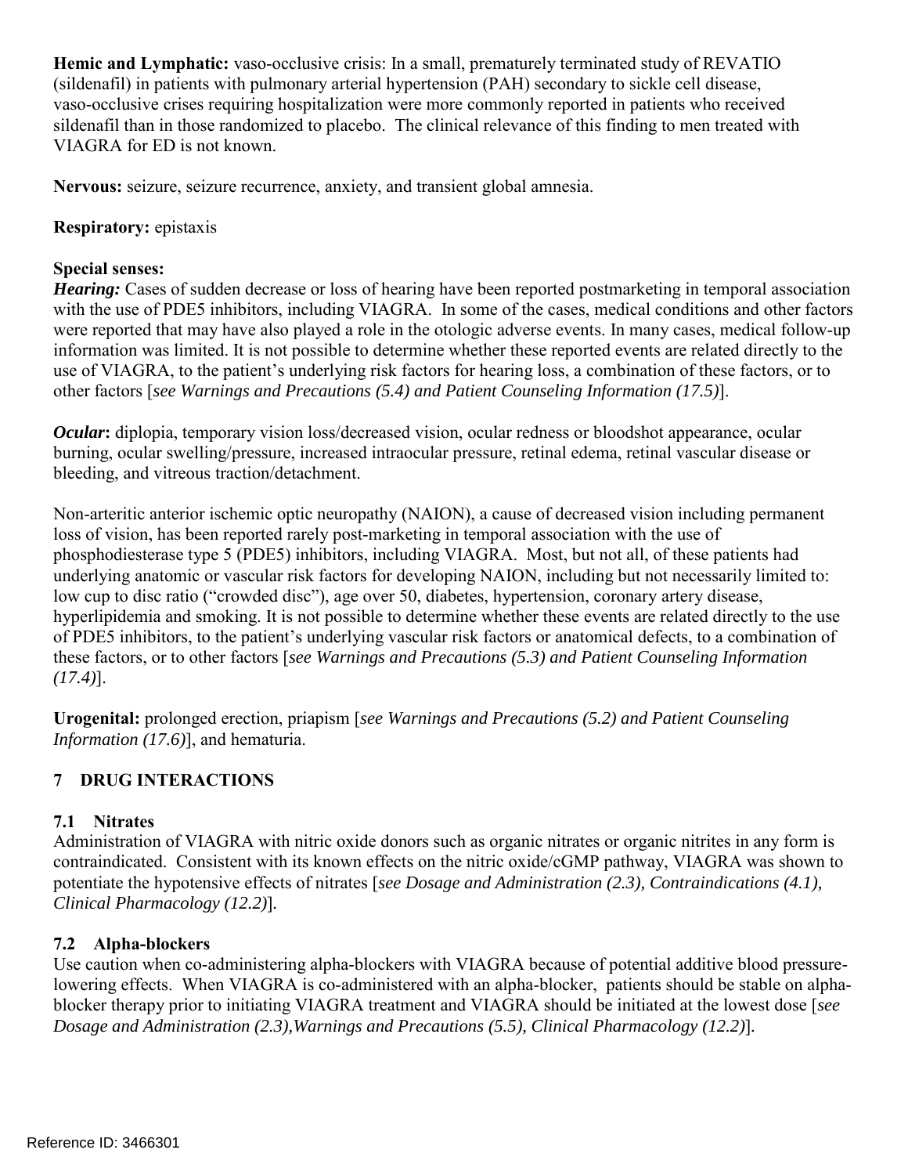**Hemic and Lymphatic:** vaso-occlusive crisis: In a small, prematurely terminated study of REVATIO (sildenafil) in patients with pulmonary arterial hypertension (PAH) secondary to sickle cell disease, vaso-occlusive crises requiring hospitalization were more commonly reported in patients who received sildenafil than in those randomized to placebo. The clinical relevance of this finding to men treated with VIAGRA for ED is not known.

**Nervous:** seizure, seizure recurrence, anxiety, and transient global amnesia.

#### **Respiratory:** epistaxis

#### **Special senses:**

 were reported that may have also played a role in the otologic adverse events. In many cases, medical follow-up use of VIAGRA, to the patient's underlying risk factors for hearing loss, a combination of these factors, or to  other factors [*see Warnings and Precautions (5.4) and Patient Counseling Information (17.5)*]. *Hearing:* Cases of sudden decrease or loss of hearing have been reported postmarketing in temporal association with the use of PDE5 inhibitors, including VIAGRA. In some of the cases, medical conditions and other factors information was limited. It is not possible to determine whether these reported events are related directly to the

*Ocular*: diplopia, temporary vision loss/decreased vision, ocular redness or bloodshot appearance, ocular burning, ocular swelling/pressure, increased intraocular pressure, retinal edema, retinal vascular disease or bleeding, and vitreous traction/detachment.

 these factors, or to other factors [*see Warnings and Precautions (5.3) and Patient Counseling Information*  Non-arteritic anterior ischemic optic neuropathy (NAION), a cause of decreased vision including permanent loss of vision, has been reported rarely post-marketing in temporal association with the use of phosphodiesterase type 5 (PDE5) inhibitors, including VIAGRA. Most, but not all, of these patients had underlying anatomic or vascular risk factors for developing NAION, including but not necessarily limited to: low cup to disc ratio ("crowded disc"), age over 50, diabetes, hypertension, coronary artery disease, hyperlipidemia and smoking. It is not possible to determine whether these events are related directly to the use of PDE5 inhibitors, to the patient's underlying vascular risk factors or anatomical defects, to a combination of *(17.4)*].

**Urogenital:** prolonged erection, priapism [*see Warnings and Precautions (5.2) and Patient Counseling Information (17.6)*], and hematuria.

## **7 DRUG INTERACTIONS 7.1 Nitrates**

## 7.1 Nitrates

 contraindicated. Consistent with its known effects on the nitric oxide/cGMP pathway, VIAGRA was shown to Administration of VIAGRA with nitric oxide donors such as organic nitrates or organic nitrites in any form is potentiate the hypotensive effects of nitrates [*see Dosage and Administration (2.3), Contraindications (4.1), Clinical Pharmacology (12.2)*]*.* 

## **7.2 Alpha-blockers**

 lowering effects. When VIAGRA is co-administered with an alpha-blocker, patients should be stable on alpha- blocker therapy prior to initiating VIAGRA treatment and VIAGRA should be initiated at the lowest dose [*see Dosage and Administration (2.3),Warnings and Precautions (5.5), Clinical Pharmacology (12.2)*]*.*  Use caution when co-administering alpha-blockers with VIAGRA because of potential additive blood pressure-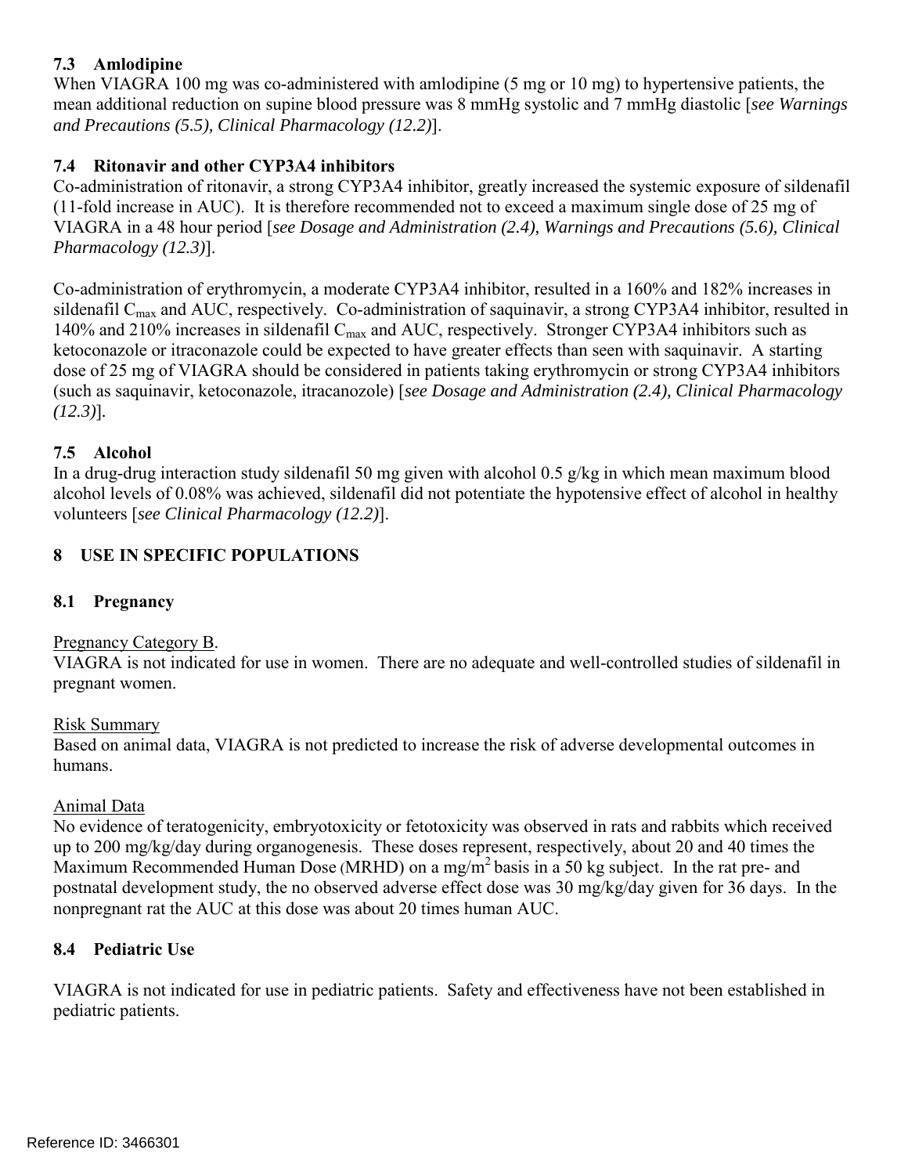#### **7.3 Amlodipine**

 mean additional reduction on supine blood pressure was 8 mmHg systolic and 7 mmHg diastolic [*see Warnings*  When VIAGRA 100 mg was co-administered with amlodipine (5 mg or 10 mg) to hypertensive patients, the *and Precautions (5.5), Clinical Pharmacology (12.2)*].

#### **7.4 Ritonavir and other CYP3A4 inhibitors**

 (11-fold increase in AUC). It is therefore recommended not to exceed a maximum single dose of 25 mg of Pharmacology  $(12.3)$ ]. Co-administration of ritonavir, a strong CYP3A4 inhibitor, greatly increased the systemic exposure of sildenafil VIAGRA in a 48 hour period [*see Dosage and Administration (2.4), Warnings and Precautions (5.6), Clinical* 

*Pharmacology (12.3)*].<br>Co-administration of erythromycin, a moderate CYP3A4 inhibitor, resulted in a 160% and 182% increases in sildenafil  $C_{\text{max}}$  and AUC, respectively. Co-administration of saquinavir, a strong CYP3A4 inhibitor, resulted in 140% and 210% increases in sildenafil  $C_{\text{max}}$  and AUC, respectively. Stronger CYP3A4 inhibitors such as ketoconazole or itraconazole could be expected to have greater effects than seen with saquinavir. A starting dose of 25 mg of VIAGRA should be considered in patients taking erythromycin or strong CYP3A4 inhibitors (such as saquinavir, ketoconazole, itracanozole) [*see Dosage and Administration (2.4), Clinical Pharmacology (12.3)*]*.* 

#### **7.5 Alcohol**

 In a drug-drug interaction study sildenafil 50 mg given with alcohol 0.5 g/kg in which mean maximum blood alcohol levels of 0.08% was achieved, sildenafil did not potentiate the hypotensive effect of alcohol in healthy volunteers [*see Clinical Pharmacology (12.2)*].

#### **8 USE IN SPECIFIC POPULATIONS**

#### **8.1 Pregnancy**

#### Pregnancy Category B.

 VIAGRA is not indicated for use in women. There are no adequate and well-controlled studies of sildenafil in pregnant women.

#### Risk Summary

Based on animal data, VIAGRA is not predicted to increase the risk of adverse developmental outcomes in humans.

#### Animal Data

Maximum Recommended Human Dose (MRHD) on a mg/m<sup>2</sup> basis in a 50 kg subject. In the rat pre- and postnatal development study, the no observed adverse effect dose was 30 mg/kg/day given for 36 days. In the nonpregnant rat the AUC at this dose was about 20 times human AUC. No evidence of teratogenicity, embryotoxicity or fetotoxicity was observed in rats and rabbits which received up to 200 mg/kg/day during organogenesis. These doses represent, respectively, about 20 and 40 times the

#### **8.4 Pediatric Use**

 VIAGRA is not indicated for use in pediatric patients. Safety and effectiveness have not been established in pediatric patients.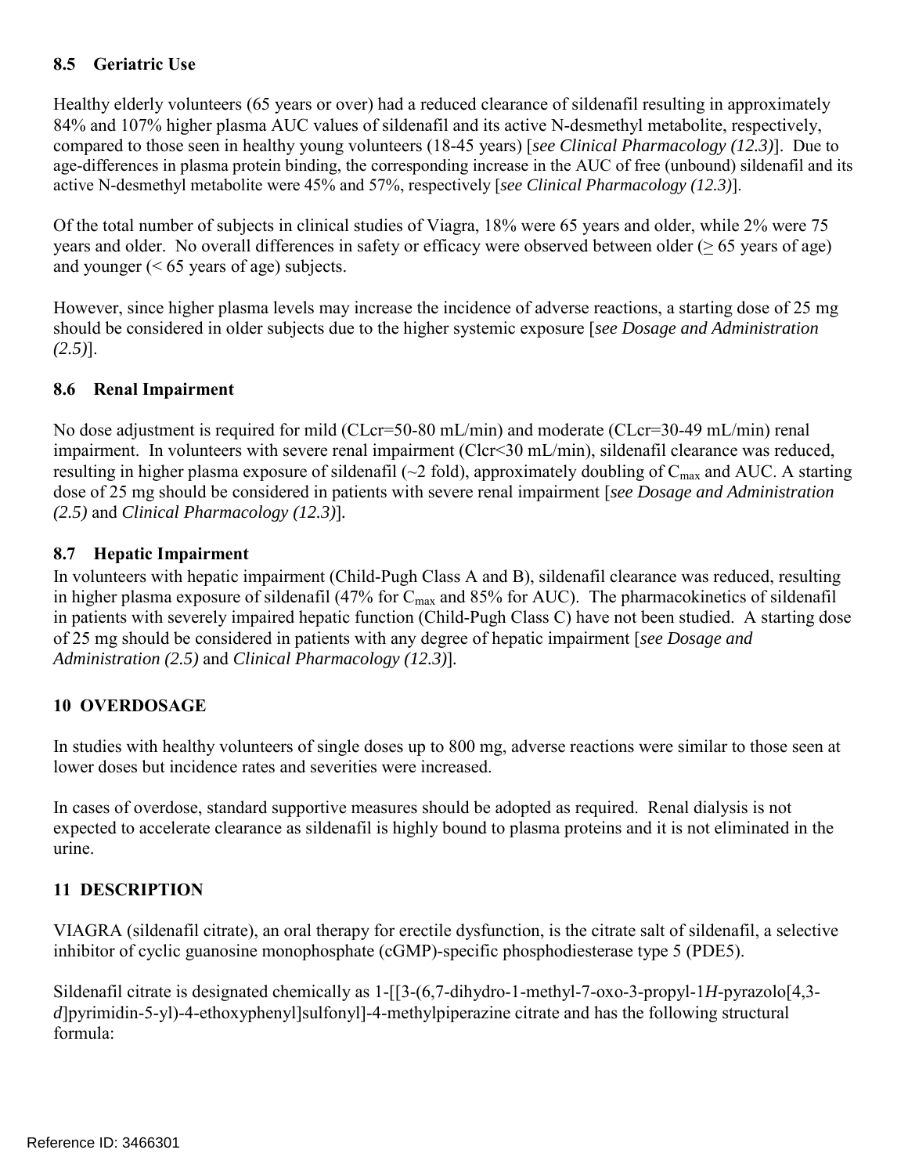## **8.5 Geriatric Use**

Healthy elderly volunteers (65 years or over) had a reduced clearance of sildenafil resulting in approximately 84% and 107% higher plasma AUC values of sildenafil and its active N-desmethyl metabolite, respectively, compared to those seen in healthy young volunteers (18-45 years) [*see Clinical Pharmacology (12.3)*]. Due to age-differences in plasma protein binding, the corresponding increase in the AUC of free (unbound) sildenafil and its active N-desmethyl metabolite were 45% and 57%, respectively [*see Clinical Pharmacology (12.3)*].

 Of the total number of subjects in clinical studies of Viagra, 18% were 65 years and older, while 2% were 75 years and older. No overall differences in safety or efficacy were observed between older  $( \geq 65 \text{ years of age})$ and younger (< 65 years of age) subjects.

 However, since higher plasma levels may increase the incidence of adverse reactions, a starting dose of 25 mg should be considered in older subjects due to the higher systemic exposure [*see Dosage and Administration (2.5)*].

#### **8.6 Renal Impairment**

 dose of 25 mg should be considered in patients with severe renal impairment [*see Dosage and Administration (2.5)* and *Clinical Pharmacology (12.3)*]*.*  No dose adjustment is required for mild (CLcr=50-80 mL/min) and moderate (CLcr=30-49 mL/min) renal impairment. In volunteers with severe renal impairment (Clcr<30 mL/min), sildenafil clearance was reduced, resulting in higher plasma exposure of sildenafil ( $\sim$ 2 fold), approximately doubling of C<sub>max</sub> and AUC. A starting

#### **8.7 Hepatic Impairment**

 In volunteers with hepatic impairment (Child-Pugh Class A and B), sildenafil clearance was reduced, resulting in higher plasma exposure of sildenafil (47% for  $C_{\text{max}}$  and 85% for AUC). The pharmacokinetics of sildenafil in patients with severely impaired hepatic function (Child-Pugh Class C) have not been studied. A starting dose of 25 mg should be considered in patients with any degree of hepatic impairment [*see Dosage and Administration (2.5)* and *Clinical Pharmacology (12.3)*]*.* 

## **10 OVERDOSAGE**

 In studies with healthy volunteers of single doses up to 800 mg, adverse reactions were similar to those seen at lower doses but incidence rates and severities were increased.

 In cases of overdose, standard supportive measures should be adopted as required. Renal dialysis is not expected to accelerate clearance as sildenafil is highly bound to plasma proteins and it is not eliminated in the urine.

## **11 DESCRIPTION**

VIAGRA (sildenafil citrate), an oral therapy for erectile dysfunction, is the citrate salt of sildenafil, a selective inhibitor of cyclic guanosine monophosphate (cGMP)-specific phosphodiesterase type 5 (PDE5).

Sildenafil citrate is designated chemically as 1-[[3-(6,7-dihydro-1-methyl-7-oxo-3-propyl-1*H*-pyrazolo[4,3 *d*]pyrimidin-5-yl)-4-ethoxyphenyl]sulfonyl]-4-methylpiperazine citrate and has the following structural formula: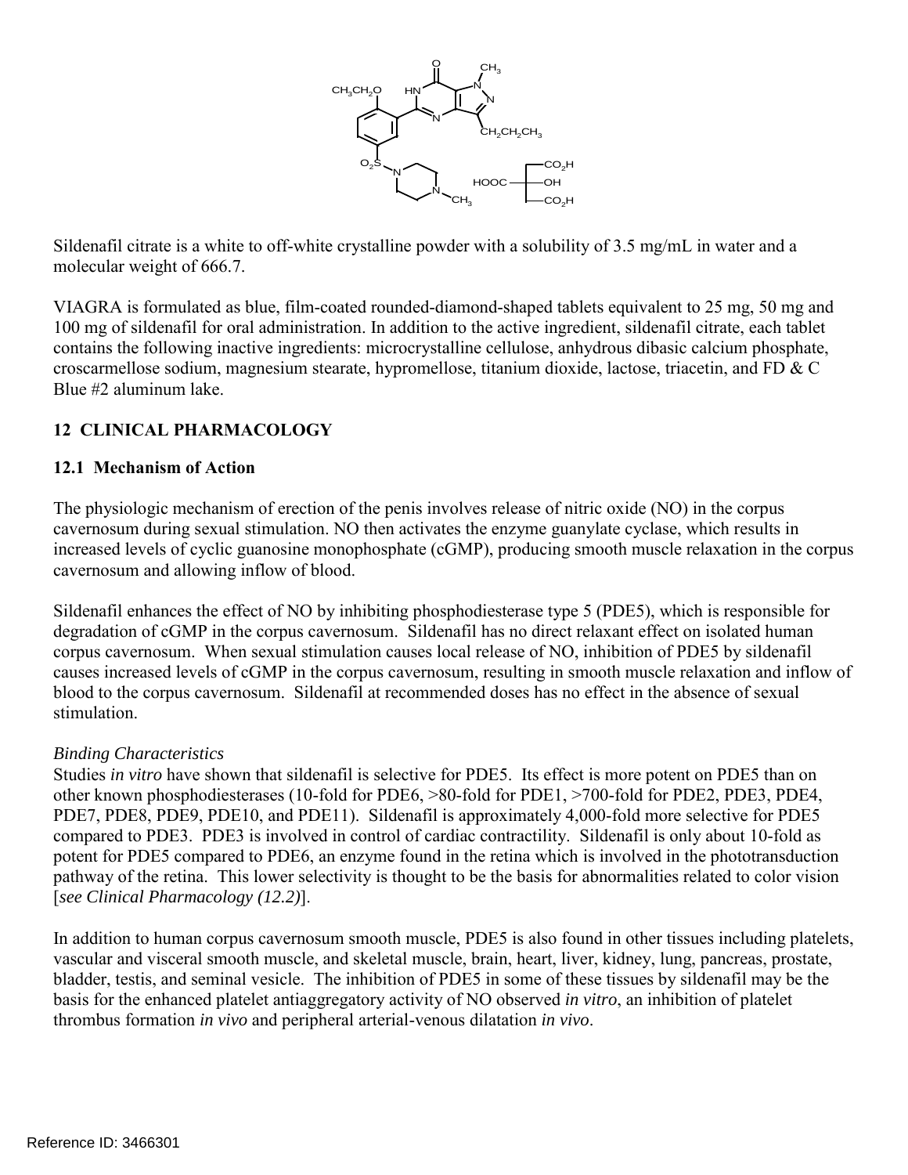

Sildenafil citrate is a white to off-white crystalline powder with a solubility of 3.5 mg/mL in water and a molecular weight of 666.7.

 VIAGRA is formulated as blue, film-coated rounded-diamond-shaped tablets equivalent to 25 mg, 50 mg and croscarmellose sodium, magnesium stearate, hypromellose, titanium dioxide, lactose, triacetin, and FD & C 100 mg of sildenafil for oral administration. In addition to the active ingredient, sildenafil citrate, each tablet contains the following inactive ingredients: microcrystalline cellulose, anhydrous dibasic calcium phosphate, Blue #2 aluminum lake.

## **12 CLINICAL PHARMACOLOGY**

#### **12.1 Mechanism of Action**

The physiologic mechanism of erection of the penis involves release of nitric oxide (NO) in the corpus cavernosum during sexual stimulation. NO then activates the enzyme guanylate cyclase, which results in increased levels of cyclic guanosine monophosphate (cGMP), producing smooth muscle relaxation in the corpus cavernosum and allowing inflow of blood.

 blood to the corpus cavernosum. Sildenafil at recommended doses has no effect in the absence of sexual Sildenafil enhances the effect of NO by inhibiting phosphodiesterase type 5 (PDE5), which is responsible for degradation of cGMP in the corpus cavernosum. Sildenafil has no direct relaxant effect on isolated human corpus cavernosum. When sexual stimulation causes local release of NO, inhibition of PDE5 by sildenafil causes increased levels of cGMP in the corpus cavernosum, resulting in smooth muscle relaxation and inflow of stimulation.

#### *Binding Characteristics*

 Studies *in vitro* have shown that sildenafil is selective for PDE5. Its effect is more potent on PDE5 than on pathway of the retina. This lower selectivity is thought to be the basis for abnormalities related to color vision other known phosphodiesterases (10-fold for PDE6, >80-fold for PDE1, >700-fold for PDE2, PDE3, PDE4, PDE7, PDE8, PDE9, PDE10, and PDE11). Sildenafil is approximately 4,000-fold more selective for PDE5 compared to PDE3. PDE3 is involved in control of cardiac contractility. Sildenafil is only about 10-fold as potent for PDE5 compared to PDE6, an enzyme found in the retina which is involved in the phototransduction [*see Clinical Pharmacology (12.2)*].

 bladder, testis, and seminal vesicle. The inhibition of PDE5 in some of these tissues by sildenafil may be the In addition to human corpus cavernosum smooth muscle, PDE5 is also found in other tissues including platelets, vascular and visceral smooth muscle, and skeletal muscle, brain, heart, liver, kidney, lung, pancreas, prostate, basis for the enhanced platelet antiaggregatory activity of NO observed *in vitro*, an inhibition of platelet thrombus formation *in vivo* and peripheral arterial-venous dilatation *in vivo*.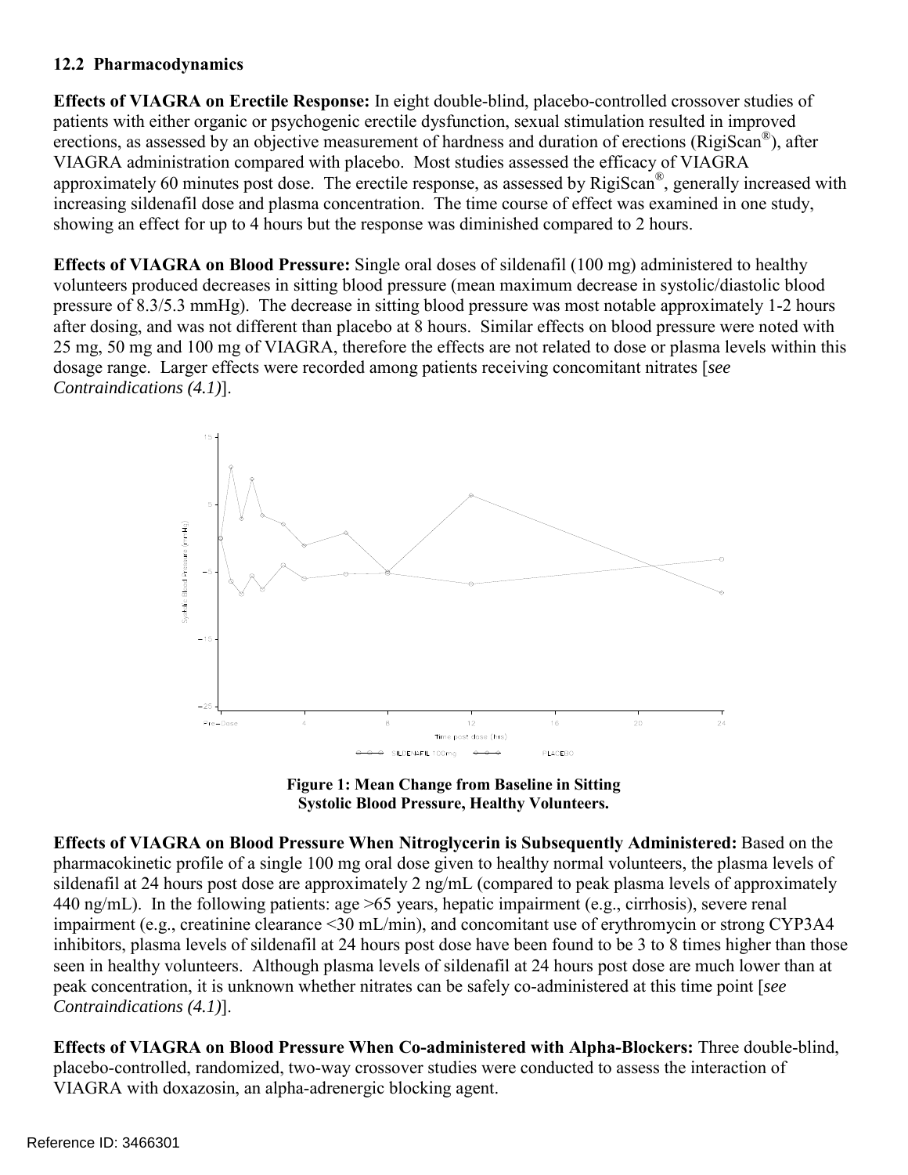#### **12.2 Pharmacodynamics**

erections, as assessed by an objective measurement of hardness and duration of erections (RigiScan®), after VIAGRA administration compared with placebo. Most studies assessed the efficacy of VIAGRA approximately 60 minutes post dose. The erectile response, as assessed by RigiScan<sup>®</sup>, generally increased with showing an effect for up to 4 hours but the response was diminished compared to 2 hours. **Effects of VIAGRA on Erectile Response:** In eight double-blind, placebo-controlled crossover studies of patients with either organic or psychogenic erectile dysfunction, sexual stimulation resulted in improved increasing sildenafil dose and plasma concentration. The time course of effect was examined in one study,

 **Effects of VIAGRA on Blood Pressure:** Single oral doses of sildenafil (100 mg) administered to healthy pressure of 8.3/5.3 mmHg). The decrease in sitting blood pressure was most notable approximately 1-2 hours after dosing, and was not different than placebo at 8 hours. Similar effects on blood pressure were noted with 25 mg, 50 mg and 100 mg of VIAGRA, therefore the effects are not related to dose or plasma levels within this volunteers produced decreases in sitting blood pressure (mean maximum decrease in systolic/diastolic blood dosage range. Larger effects were recorded among patients receiving concomitant nitrates [*see Contraindications (4.1)*].



**Figure 1: Mean Change from Baseline in Sitting Systolic Blood Pressure, Healthy Volunteers.**

 sildenafil at 24 hours post dose are approximately 2 ng/mL (compared to peak plasma levels of approximately 440 ng/mL). In the following patients: age >65 years, hepatic impairment (e.g., cirrhosis), severe renal impairment (e.g., creatinine clearance <30 mL/min), and concomitant use of erythromycin or strong CYP3A4 inhibitors, plasma levels of sildenafil at 24 hours post dose have been found to be 3 to 8 times higher than those peak concentration, it is unknown whether nitrates can be safely co-administered at this time point [*see*  **Effects of VIAGRA on Blood Pressure When Nitroglycerin is Subsequently Administered:** Based on the pharmacokinetic profile of a single 100 mg oral dose given to healthy normal volunteers, the plasma levels of seen in healthy volunteers. Although plasma levels of sildenafil at 24 hours post dose are much lower than at *Contraindications (4.1)*].

 VIAGRA with doxazosin, an alpha-adrenergic blocking agent. **Effects of VIAGRA on Blood Pressure When Co-administered with Alpha-Blockers:** Three double-blind, placebo-controlled, randomized, two-way crossover studies were conducted to assess the interaction of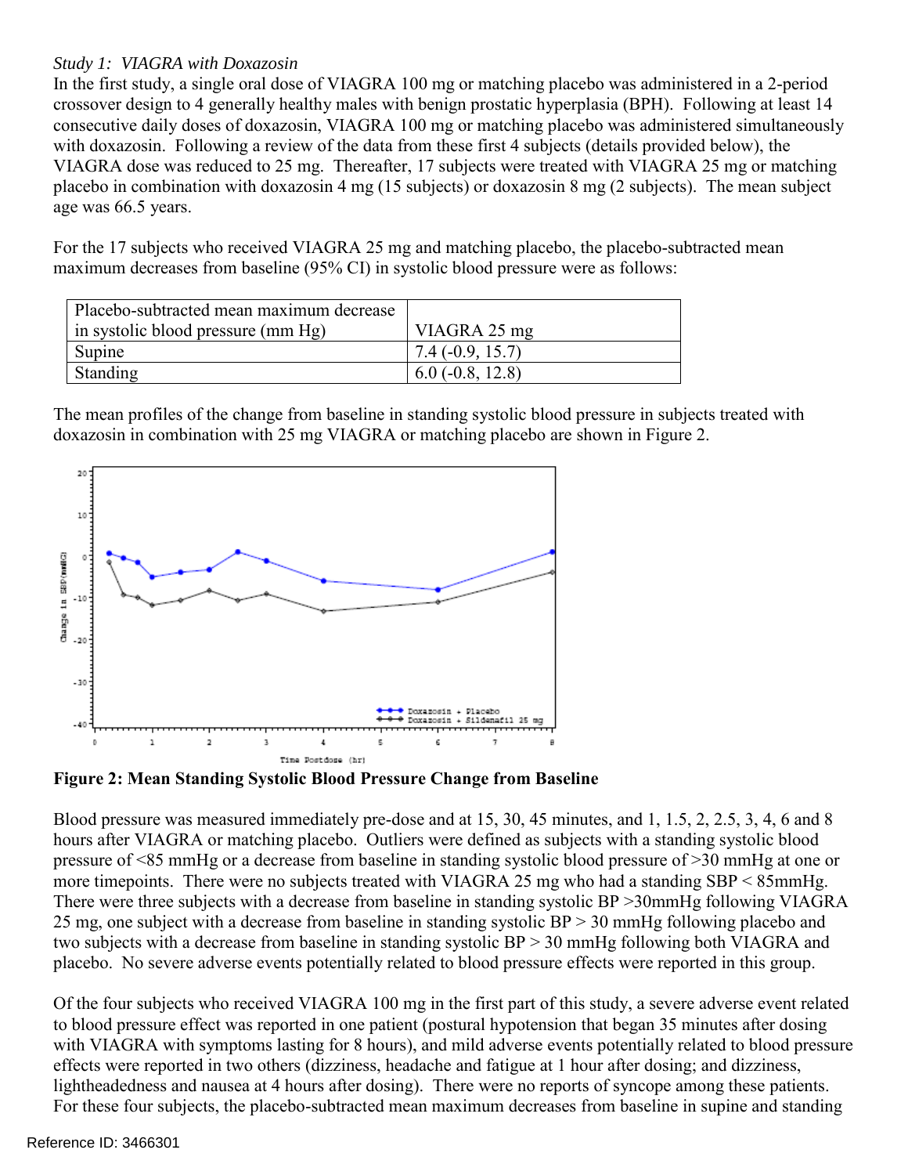#### *Study 1: VIAGRA with Doxazosin*

 VIAGRA dose was reduced to 25 mg. Thereafter, 17 subjects were treated with VIAGRA 25 mg or matching In the first study, a single oral dose of VIAGRA 100 mg or matching placebo was administered in a 2-period crossover design to 4 generally healthy males with benign prostatic hyperplasia (BPH). Following at least 14 consecutive daily doses of doxazosin, VIAGRA 100 mg or matching placebo was administered simultaneously with doxazosin. Following a review of the data from these first 4 subjects (details provided below), the placebo in combination with doxazosin 4 mg (15 subjects) or doxazosin 8 mg (2 subjects). The mean subject age was 66.5 years.

For the 17 subjects who received VIAGRA 25 mg and matching placebo, the placebo-subtracted mean maximum decreases from baseline (95% CI) in systolic blood pressure were as follows:

| Placebo-subtracted mean maximum decrease |                   |
|------------------------------------------|-------------------|
| in systolic blood pressure (mm Hg)       | VIAGRA 25 mg      |
| Supine                                   | $7.4(-0.9, 15.7)$ |
| Standing                                 | $6.0(-0.8, 12.8)$ |

The mean profiles of the change from baseline in standing systolic blood pressure in subjects treated with doxazosin in combination with 25 mg VIAGRA or matching placebo are shown in Figure 2.



 **Figure 2: Mean Standing Systolic Blood Pressure Change from Baseline** 

 hours after VIAGRA or matching placebo. Outliers were defined as subjects with a standing systolic blood Blood pressure was measured immediately pre-dose and at 15, 30, 45 minutes, and 1, 1.5, 2, 2.5, 3, 4, 6 and 8 pressure of <85 mmHg or a decrease from baseline in standing systolic blood pressure of >30 mmHg at one or more timepoints. There were no subjects treated with VIAGRA 25 mg who had a standing SBP < 85mmHg. There were three subjects with a decrease from baseline in standing systolic BP >30mmHg following VIAGRA 25 mg, one subject with a decrease from baseline in standing systolic BP > 30 mmHg following placebo and two subjects with a decrease from baseline in standing systolic BP > 30 mmHg following both VIAGRA and placebo. No severe adverse events potentially related to blood pressure effects were reported in this group.

Of the four subjects who received VIAGRA 100 mg in the first part of this study, a severe adverse event related to blood pressure effect was reported in one patient (postural hypotension that began 35 minutes after dosing with VIAGRA with symptoms lasting for 8 hours), and mild adverse events potentially related to blood pressure effects were reported in two others (dizziness, headache and fatigue at 1 hour after dosing; and dizziness, lightheadedness and nausea at 4 hours after dosing). There were no reports of syncope among these patients. For these four subjects, the placebo-subtracted mean maximum decreases from baseline in supine and standing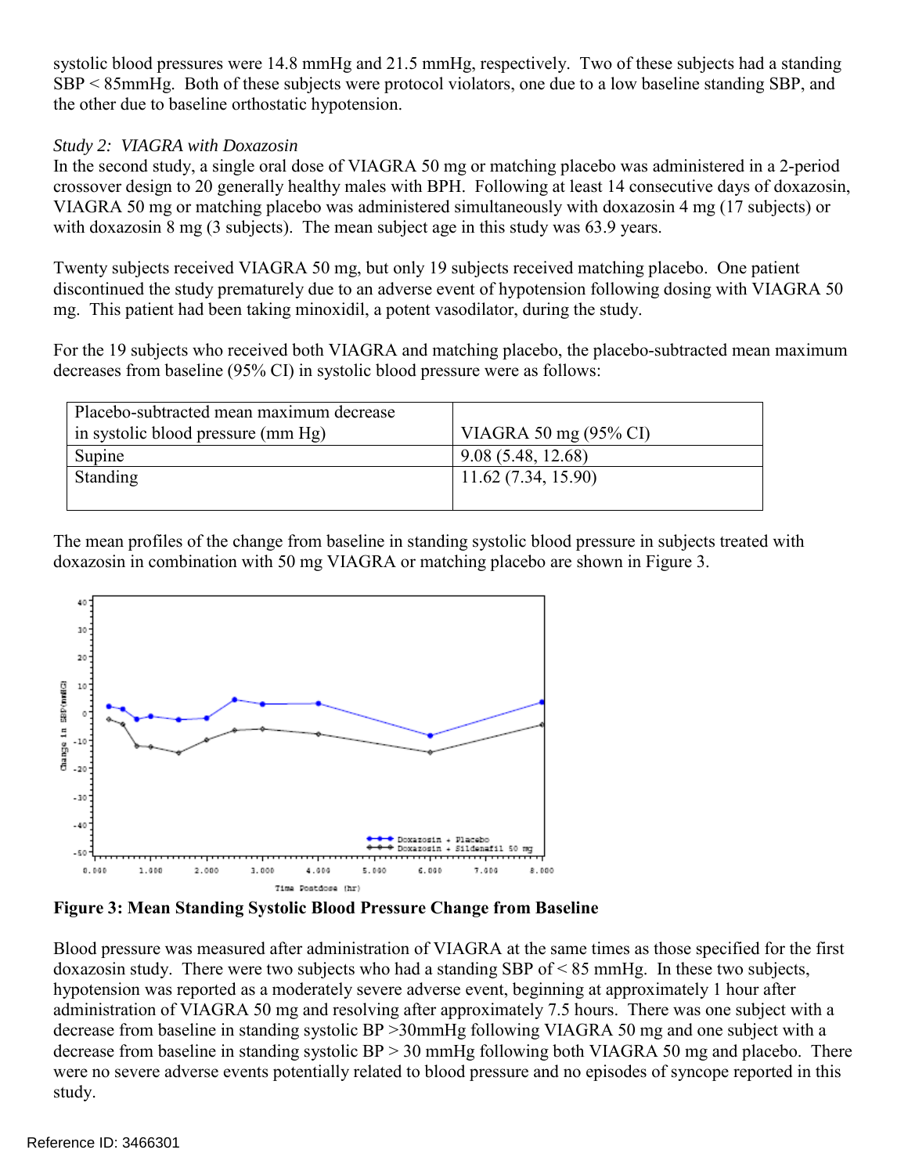systolic blood pressures were 14.8 mmHg and 21.5 mmHg, respectively. Two of these subjects had a standing SBP < 85mmHg. Both of these subjects were protocol violators, one due to a low baseline standing SBP, and the other due to baseline orthostatic hypotension.

#### *Study 2: VIAGRA with Doxazosin*

with doxazosin 8 mg (3 subjects). The mean subject age in this study was 63.9 years. In the second study, a single oral dose of VIAGRA 50 mg or matching placebo was administered in a 2-period crossover design to 20 generally healthy males with BPH. Following at least 14 consecutive days of doxazosin, VIAGRA 50 mg or matching placebo was administered simultaneously with doxazosin 4 mg (17 subjects) or

Twenty subjects received VIAGRA 50 mg, but only 19 subjects received matching placebo. One patient discontinued the study prematurely due to an adverse event of hypotension following dosing with VIAGRA 50 mg. This patient had been taking minoxidil, a potent vasodilator, during the study.

For the 19 subjects who received both VIAGRA and matching placebo, the placebo-subtracted mean maximum decreases from baseline (95% CI) in systolic blood pressure were as follows:

| Placebo-subtracted mean maximum decrease |                                  |
|------------------------------------------|----------------------------------|
| in systolic blood pressure (mm Hg)       | VIAGRA 50 mg $(95\% \text{ CI})$ |
| Supine                                   | 9.08(5.48, 12.68)                |
| Standing                                 | 11.62(7.34, 15.90)               |
|                                          |                                  |

The mean profiles of the change from baseline in standing systolic blood pressure in subjects treated with doxazosin in combination with 50 mg VIAGRA or matching placebo are shown in Figure 3.



**Figure 3: Mean Standing Systolic Blood Pressure Change from Baseline** 

 Blood pressure was measured after administration of VIAGRA at the same times as those specified for the first hypotension was reported as a moderately severe adverse event, beginning at approximately 1 hour after administration of VIAGRA 50 mg and resolving after approximately 7.5 hours. There was one subject with a doxazosin study. There were two subjects who had a standing SBP of < 85 mmHg. In these two subjects, decrease from baseline in standing systolic BP >30mmHg following VIAGRA 50 mg and one subject with a decrease from baseline in standing systolic BP > 30 mmHg following both VIAGRA 50 mg and placebo. There were no severe adverse events potentially related to blood pressure and no episodes of syncope reported in this study.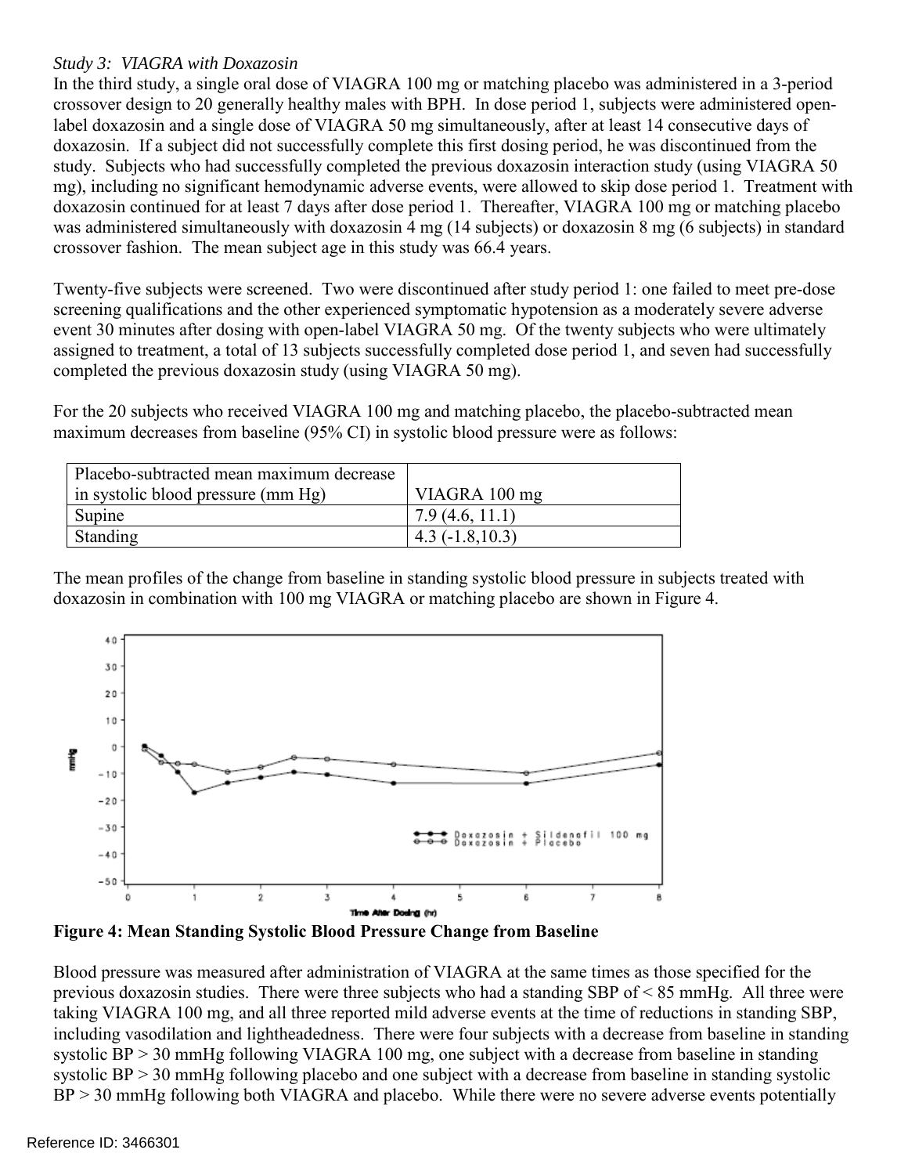#### *Study 3: VIAGRA with Doxazosin*

 In the third study, a single oral dose of VIAGRA 100 mg or matching placebo was administered in a 3-period crossover design to 20 generally healthy males with BPH. In dose period 1, subjects were administered openlabel doxazosin and a single dose of VIAGRA 50 mg simultaneously, after at least 14 consecutive days of doxazosin. If a subject did not successfully complete this first dosing period, he was discontinued from the study. Subjects who had successfully completed the previous doxazosin interaction study (using VIAGRA 50 mg), including no significant hemodynamic adverse events, were allowed to skip dose period 1. Treatment with doxazosin continued for at least 7 days after dose period 1. Thereafter, VIAGRA 100 mg or matching placebo was administered simultaneously with doxazosin 4 mg (14 subjects) or doxazosin 8 mg (6 subjects) in standard crossover fashion. The mean subject age in this study was 66.4 years.

Twenty-five subjects were screened. Two were discontinued after study period 1: one failed to meet pre-dose screening qualifications and the other experienced symptomatic hypotension as a moderately severe adverse event 30 minutes after dosing with open-label VIAGRA 50 mg. Of the twenty subjects who were ultimately assigned to treatment, a total of 13 subjects successfully completed dose period 1, and seven had successfully completed the previous doxazosin study (using VIAGRA 50 mg).

For the 20 subjects who received VIAGRA 100 mg and matching placebo, the placebo-subtracted mean maximum decreases from baseline (95% CI) in systolic blood pressure were as follows:

| Placebo-subtracted mean maximum decrease |                  |
|------------------------------------------|------------------|
| in systolic blood pressure (mm Hg)       | VIAGRA 100 mg    |
| Supine                                   | 7.9(4.6, 11.1)   |
| Standing                                 | $4.3(-1.8,10.3)$ |

The mean profiles of the change from baseline in standing systolic blood pressure in subjects treated with doxazosin in combination with 100 mg VIAGRA or matching placebo are shown in Figure 4.



**Figure 4: Mean Standing Systolic Blood Pressure Change from Baseline** 

 Blood pressure was measured after administration of VIAGRA at the same times as those specified for the including vasodilation and lightheadedness. There were four subjects with a decrease from baseline in standing systolic BP > 30 mmHg following VIAGRA 100 mg, one subject with a decrease from baseline in standing BP > 30 mmHg following both VIAGRA and placebo. While there were no severe adverse events potentially previous doxazosin studies. There were three subjects who had a standing SBP of < 85 mmHg. All three were taking VIAGRA 100 mg, and all three reported mild adverse events at the time of reductions in standing SBP, systolic BP > 30 mmHg following placebo and one subject with a decrease from baseline in standing systolic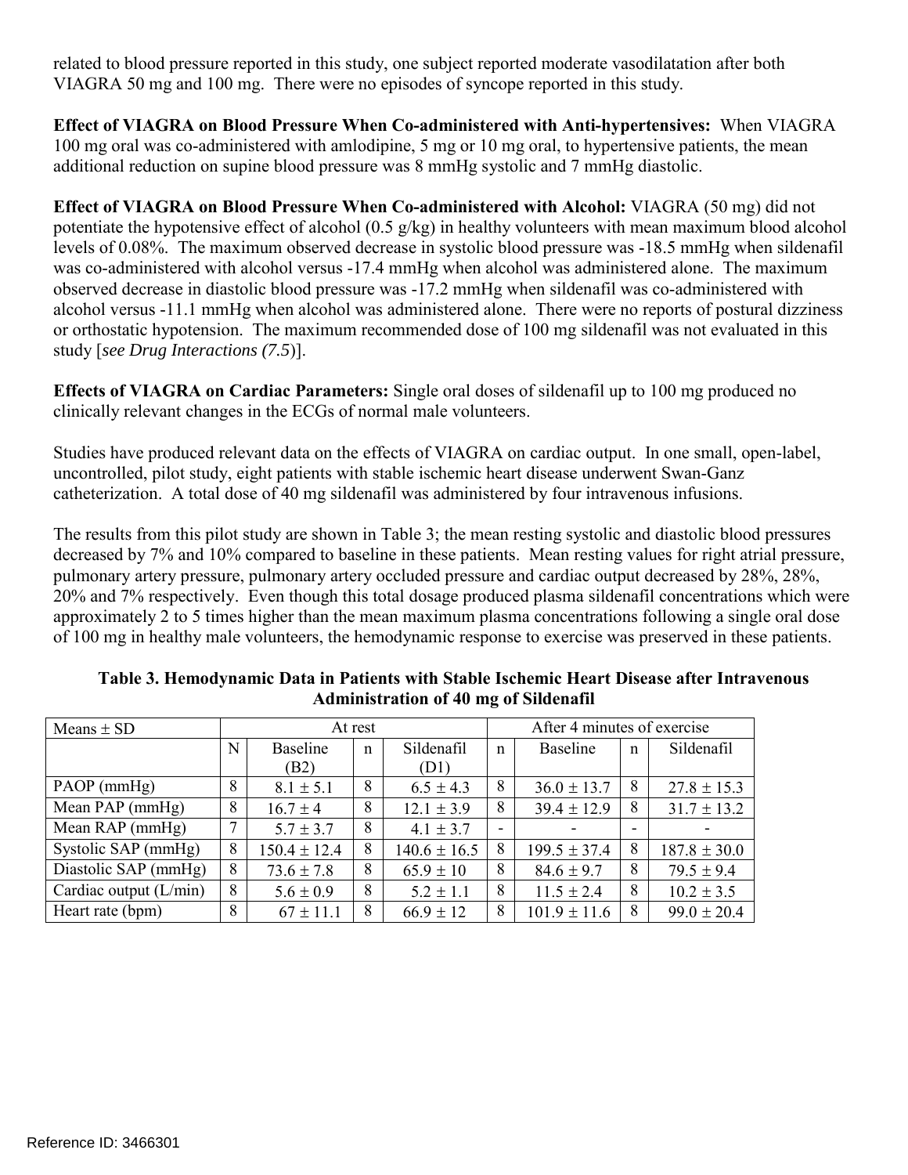related to blood pressure reported in this study, one subject reported moderate vasodilatation after both VIAGRA 50 mg and 100 mg. There were no episodes of syncope reported in this study.

 100 mg oral was co-administered with amlodipine, 5 mg or 10 mg oral, to hypertensive patients, the mean **Effect of VIAGRA on Blood Pressure When Co-administered with Anti-hypertensives:** When VIAGRA additional reduction on supine blood pressure was 8 mmHg systolic and 7 mmHg diastolic.

 **Effect of VIAGRA on Blood Pressure When Co-administered with Alcohol:** VIAGRA (50 mg) did not potentiate the hypotensive effect of alcohol (0.5 g/kg) in healthy volunteers with mean maximum blood alcohol levels of 0.08%. The maximum observed decrease in systolic blood pressure was -18.5 mmHg when sildenafil was co-administered with alcohol versus -17.4 mmHg when alcohol was administered alone. The maximum observed decrease in diastolic blood pressure was -17.2 mmHg when sildenafil was co-administered with alcohol versus -11.1 mmHg when alcohol was administered alone. There were no reports of postural dizziness or orthostatic hypotension. The maximum recommended dose of 100 mg sildenafil was not evaluated in this study [*see Drug Interactions (7.5*)].

**Effects of VIAGRA on Cardiac Parameters:** Single oral doses of sildenafil up to 100 mg produced no clinically relevant changes in the ECGs of normal male volunteers.

Studies have produced relevant data on the effects of VIAGRA on cardiac output. In one small, open-label, uncontrolled, pilot study, eight patients with stable ischemic heart disease underwent Swan-Ganz catheterization. A total dose of 40 mg sildenafil was administered by four intravenous infusions.

The results from this pilot study are shown in Table 3; the mean resting systolic and diastolic blood pressures decreased by 7% and 10% compared to baseline in these patients. Mean resting values for right atrial pressure, pulmonary artery pressure, pulmonary artery occluded pressure and cardiac output decreased by 28%, 28%, 20% and 7% respectively. Even though this total dosage produced plasma sildenafil concentrations which were approximately 2 to 5 times higher than the mean maximum plasma concentrations following a single oral dose of 100 mg in healthy male volunteers, the hemodynamic response to exercise was preserved in these patients.

| Means $\pm$ SD           |               |                  | At rest     |                  |                          | After 4 minutes of exercise |                          |                  |
|--------------------------|---------------|------------------|-------------|------------------|--------------------------|-----------------------------|--------------------------|------------------|
|                          | N             | <b>Baseline</b>  | $\mathbf n$ | Sildenafil       | $\mathbf n$              | <b>Baseline</b>             | $\mathsf{n}$             | Sildenafil       |
|                          |               | (B2)             |             | (D1)             |                          |                             |                          |                  |
| PAOP (mmHg)              | 8             | $8.1 \pm 5.1$    | 8           | $6.5 \pm 4.3$    | 8                        | $36.0 \pm 13.7$             | 8                        | $27.8 \pm 15.3$  |
| Mean PAP (mmHg)          | 8             | $16.7 \pm 4$     | 8           | $12.1 \pm 3.9$   | 8                        | $39.4 \pm 12.9$             | 8                        | $31.7 \pm 13.2$  |
| Mean RAP (mmHg)          | $\mathcal{I}$ | $5.7 \pm 3.7$    | 8           | $4.1 \pm 3.7$    | $\overline{\phantom{0}}$ |                             | $\overline{\phantom{0}}$ |                  |
| Systolic SAP (mmHg)      | 8             | $150.4 \pm 12.4$ | 8           | $140.6 \pm 16.5$ | 8                        | $199.5 \pm 37.4$            | 8                        | $187.8 \pm 30.0$ |
| Diastolic SAP (mmHg)     | 8             | $73.6 \pm 7.8$   | 8           | $65.9 \pm 10$    | 8                        | $84.6 \pm 9.7$              | 8                        | $79.5 \pm 9.4$   |
| Cardiac output $(L/min)$ | 8             | $5.6 \pm 0.9$    | 8           | $5.2 \pm 1.1$    | 8                        | $11.5 \pm 2.4$              | 8                        | $10.2 \pm 3.5$   |
| Heart rate (bpm)         | 8             | $67 \pm 11.1$    | 8           | $66.9 \pm 12$    | 8                        | $101.9 \pm 11.6$            | 8                        | $99.0 \pm 20.4$  |

| Table 3. Hemodynamic Data in Patients with Stable Ischemic Heart Disease after Intravenous |
|--------------------------------------------------------------------------------------------|
| <b>Administration of 40 mg of Sildenafil</b>                                               |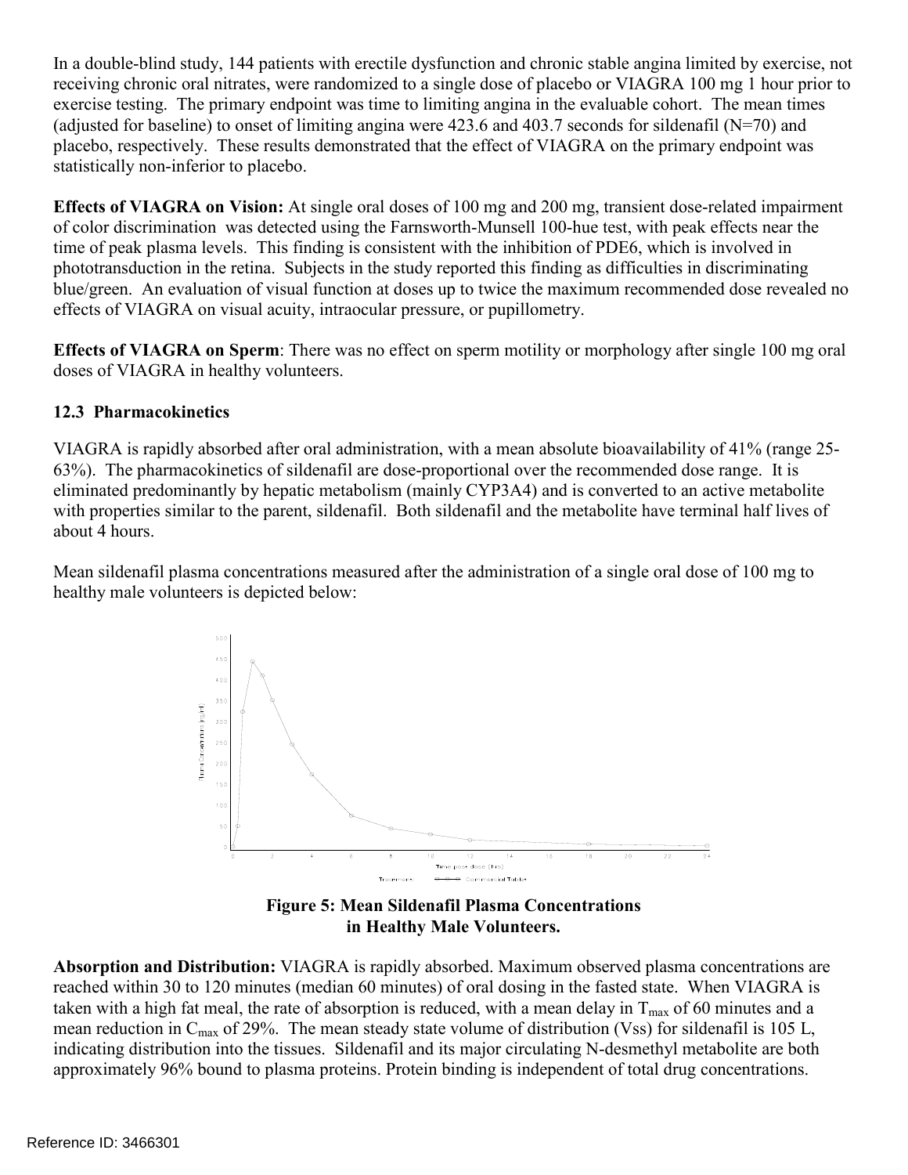exercise testing. The primary endpoint was time to limiting angina in the evaluable cohort. The mean times In a double-blind study, 144 patients with erectile dysfunction and chronic stable angina limited by exercise, not receiving chronic oral nitrates, were randomized to a single dose of placebo or VIAGRA 100 mg 1 hour prior to (adjusted for baseline) to onset of limiting angina were  $423.6$  and  $403.7$  seconds for sildenafil (N=70) and placebo, respectively. These results demonstrated that the effect of VIAGRA on the primary endpoint was statistically non-inferior to placebo.

 **Effects of VIAGRA on Vision:** At single oral doses of 100 mg and 200 mg, transient dose-related impairment of color discrimination was detected using the Farnsworth-Munsell 100-hue test, with peak effects near the time of peak plasma levels. This finding is consistent with the inhibition of PDE6, which is involved in phototransduction in the retina. Subjects in the study reported this finding as difficulties in discriminating blue/green. An evaluation of visual function at doses up to twice the maximum recommended dose revealed no effects of VIAGRA on visual acuity, intraocular pressure, or pupillometry.

 **Effects of VIAGRA on Sperm**: There was no effect on sperm motility or morphology after single 100 mg oral doses of VIAGRA in healthy volunteers.

#### **12.3 Pharmacokinetics**

 63%). The pharmacokinetics of sildenafil are dose-proportional over the recommended dose range. It is about 4 hours. VIAGRA is rapidly absorbed after oral administration, with a mean absolute bioavailability of 41% (range 25 eliminated predominantly by hepatic metabolism (mainly CYP3A4) and is converted to an active metabolite with properties similar to the parent, sildenafil. Both sildenafil and the metabolite have terminal half lives of

Mean sildenafil plasma concentrations measured after the administration of a single oral dose of 100 mg to healthy male volunteers is depicted below:



**Figure 5: Mean Sildenafil Plasma Concentrations in Healthy Male Volunteers.** 

taken with a high fat meal, the rate of absorption is reduced, with a mean delay in  $T_{max}$  of 60 minutes and a mean reduction in C<sub>max</sub> of 29%. The mean steady state volume of distribution (Vss) for sildenafil is 105 L, indicating distribution into the tissues. Sildenafil and its major circulating N-desmethyl metabolite are both **Absorption and Distribution:** VIAGRA is rapidly absorbed. Maximum observed plasma concentrations are reached within 30 to 120 minutes (median 60 minutes) of oral dosing in the fasted state. When VIAGRA is approximately 96% bound to plasma proteins. Protein binding is independent of total drug concentrations.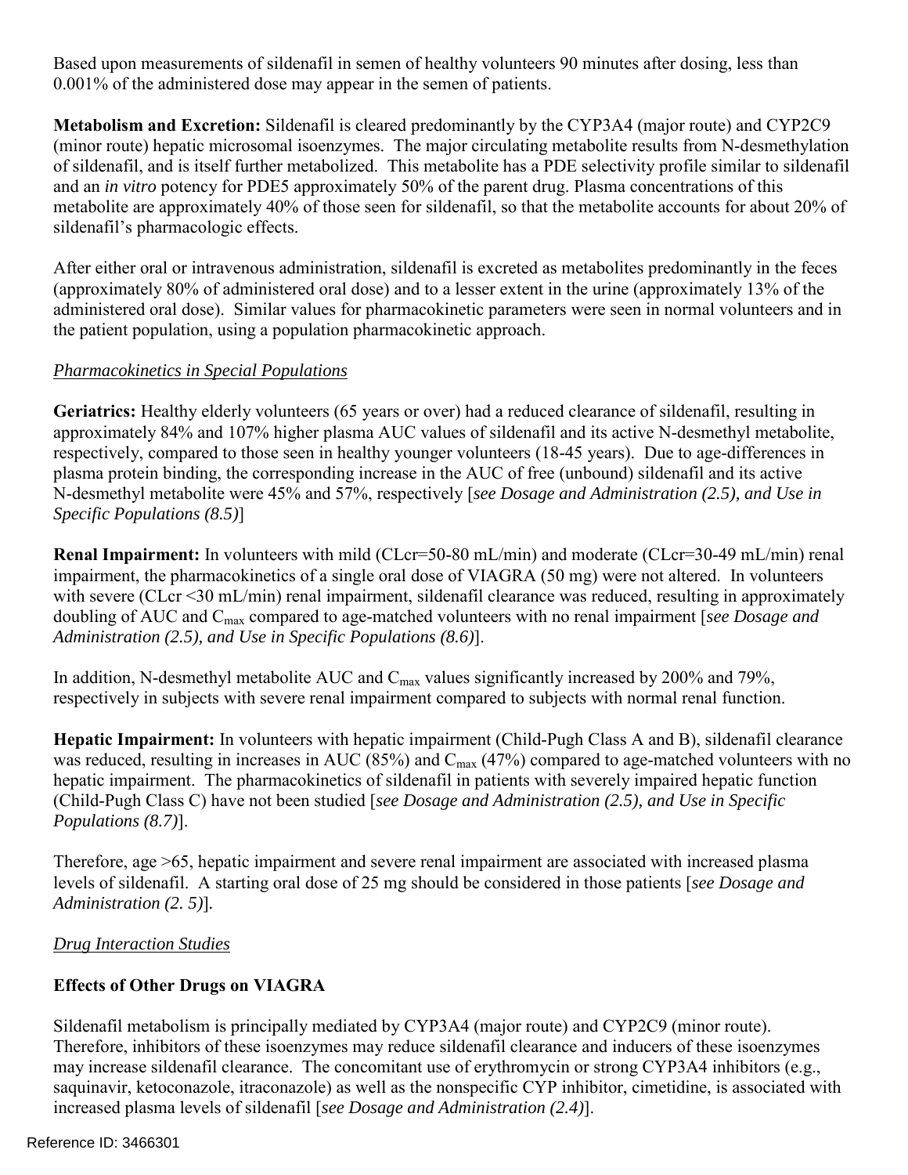Based upon measurements of sildenafil in semen of healthy volunteers 90 minutes after dosing, less than 0.001% of the administered dose may appear in the semen of patients.

**Metabolism and Excretion:** Sildenafil is cleared predominantly by the CYP3A4 (major route) and CYP2C9 (minor route) hepatic microsomal isoenzymes. The major circulating metabolite results from N-desmethylation of sildenafil, and is itself further metabolized. This metabolite has a PDE selectivity profile similar to sildenafil and an *in vitro* potency for PDE5 approximately 50% of the parent drug. Plasma concentrations of this metabolite are approximately 40% of those seen for sildenafil, so that the metabolite accounts for about 20% of sildenafil's pharmacologic effects.

After either oral or intravenous administration, sildenafil is excreted as metabolites predominantly in the feces (approximately 80% of administered oral dose) and to a lesser extent in the urine (approximately 13% of the administered oral dose). Similar values for pharmacokinetic parameters were seen in normal volunteers and in the patient population, using a population pharmacokinetic approach.

#### *Pharmacokinetics in Special Populations*

 respectively, compared to those seen in healthy younger volunteers (18-45 years). Due to age-differences in **Geriatrics:** Healthy elderly volunteers (65 years or over) had a reduced clearance of sildenafil, resulting in approximately 84% and 107% higher plasma AUC values of sildenafil and its active N-desmethyl metabolite, plasma protein binding, the corresponding increase in the AUC of free (unbound) sildenafil and its active N-desmethyl metabolite were 45% and 57%, respectively [*see Dosage and Administration (2.5), and Use in Specific Populations (8.5)*]

 impairment, the pharmacokinetics of a single oral dose of VIAGRA (50 mg) were not altered. In volunteers with severe (CLcr <30 mL/min) renal impairment, sildenafil clearance was reduced, resulting in approximately **Renal Impairment:** In volunteers with mild (CLcr=50-80 mL/min) and moderate (CLcr=30-49 mL/min) renal doubling of AUC and Cmax compared to age-matched volunteers with no renal impairment [*see Dosage and Administration (2.5), and Use in Specific Populations (8.6)*].

In addition, N-desmethyl metabolite AUC and  $C_{\text{max}}$  values significantly increased by 200% and 79%, respectively in subjects with severe renal impairment compared to subjects with normal renal function.

**Hepatic Impairment:** In volunteers with hepatic impairment (Child-Pugh Class A and B), sildenafil clearance was reduced, resulting in increases in AUC (85%) and C<sub>max</sub> (47%) compared to age-matched volunteers with no hepatic impairment. The pharmacokinetics of sildenafil in patients with severely impaired hepatic function (Child-Pugh Class C) have not been studied [*see Dosage and Administration (2.5), and Use in Specific Populations (8.7)*].

 *Administration (2. 5)*]*.*  Therefore, age >65, hepatic impairment and severe renal impairment are associated with increased plasma levels of sildenafil. A starting oral dose of 25 mg should be considered in those patients [*see Dosage and* 

## *Drug Interaction Studies*

## **Effects of Other Drugs on VIAGRA**

 may increase sildenafil clearance. The concomitant use of erythromycin or strong CYP3A4 inhibitors (e.g., Sildenafil metabolism is principally mediated by CYP3A4 (major route) and CYP2C9 (minor route). Therefore, inhibitors of these isoenzymes may reduce sildenafil clearance and inducers of these isoenzymes saquinavir, ketoconazole, itraconazole) as well as the nonspecific CYP inhibitor, cimetidine, is associated with increased plasma levels of sildenafil [*see Dosage and Administration (2.4)*].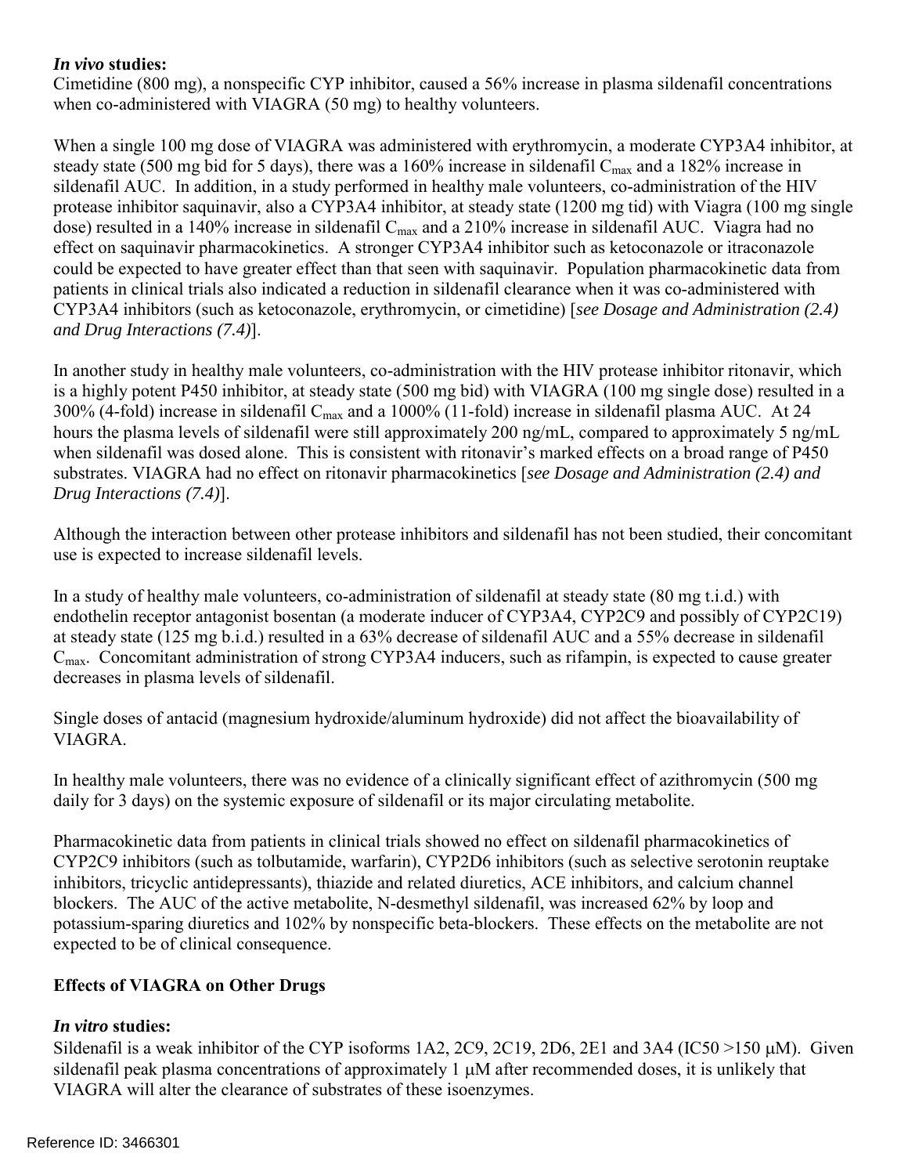#### *In vivo* **studies:**

Cimetidine (800 mg), a nonspecific CYP inhibitor, caused a 56% increase in plasma sildenafil concentrations when co-administered with VIAGRA (50 mg) to healthy volunteers.

steady state (500 mg bid for 5 days), there was a 160% increase in sildenafil  $C_{\text{max}}$  and a 182% increase in dose) resulted in a 140% increase in sildenafil  $C_{\text{max}}$  and a 210% increase in sildenafil AUC. Viagra had no could be expected to have greater effect than that seen with saquinavir. Population pharmacokinetic data from CYP3A4 inhibitors (such as ketoconazole, erythromycin, or cimetidine) [*see Dosage and Administration (2.4)*  When a single 100 mg dose of VIAGRA was administered with erythromycin, a moderate CYP3A4 inhibitor, at sildenafil AUC. In addition, in a study performed in healthy male volunteers, co-administration of the HIV protease inhibitor saquinavir, also a CYP3A4 inhibitor, at steady state (1200 mg tid) with Viagra (100 mg single effect on saquinavir pharmacokinetics. A stronger CYP3A4 inhibitor such as ketoconazole or itraconazole patients in clinical trials also indicated a reduction in sildenafil clearance when it was co-administered with *and Drug Interactions (7.4)*].

 hours the plasma levels of sildenafil were still approximately 200 ng/mL, compared to approximately 5 ng/mL In another study in healthy male volunteers, co-administration with the HIV protease inhibitor ritonavir, which is a highly potent P450 inhibitor, at steady state (500 mg bid) with VIAGRA (100 mg single dose) resulted in a 300% (4-fold) increase in sildenafil  $C_{\text{max}}$  and a 1000% (11-fold) increase in sildenafil plasma AUC. At 24 when sildenafil was dosed alone. This is consistent with ritonavir's marked effects on a broad range of P450 substrates. VIAGRA had no effect on ritonavir pharmacokinetics [*see Dosage and Administration (2.4) and Drug Interactions (7.4)*].

 Although the interaction between other protease inhibitors and sildenafil has not been studied, their concomitant use is expected to increase sildenafil levels.

 endothelin receptor antagonist bosentan (a moderate inducer of CYP3A4, CYP2C9 and possibly of CYP2C19) In a study of healthy male volunteers, co-administration of sildenafil at steady state (80 mg t.i.d.) with at steady state (125 mg b.i.d.) resulted in a 63% decrease of sildenafil AUC and a 55% decrease in sildenafil Cmax. Concomitant administration of strong CYP3A4 inducers, such as rifampin, is expected to cause greater decreases in plasma levels of sildenafil.

Single doses of antacid (magnesium hydroxide/aluminum hydroxide) did not affect the bioavailability of VIAGRA.

In healthy male volunteers, there was no evidence of a clinically significant effect of azithromycin (500 mg daily for 3 days) on the systemic exposure of sildenafil or its major circulating metabolite.

Pharmacokinetic data from patients in clinical trials showed no effect on sildenafil pharmacokinetics of CYP2C9 inhibitors (such as tolbutamide, warfarin), CYP2D6 inhibitors (such as selective serotonin reuptake inhibitors, tricyclic antidepressants), thiazide and related diuretics, ACE inhibitors, and calcium channel blockers. The AUC of the active metabolite, N-desmethyl sildenafil, was increased 62% by loop and potassium-sparing diuretics and 102% by nonspecific beta-blockers. These effects on the metabolite are not expected to be of clinical consequence.

## **Effects of VIAGRA on Other Drugs**

## *In vitro* **studies:**

Sildenafil is a weak inhibitor of the CYP isoforms  $1A2$ ,  $2C9$ ,  $2C19$ ,  $2D6$ ,  $2E1$  and  $3A4$  (IC50 >150  $\mu$ M). Given sildenafil peak plasma concentrations of approximately 1  $\mu$ M after recommended doses, it is unlikely that VIAGRA will alter the clearance of substrates of these isoenzymes.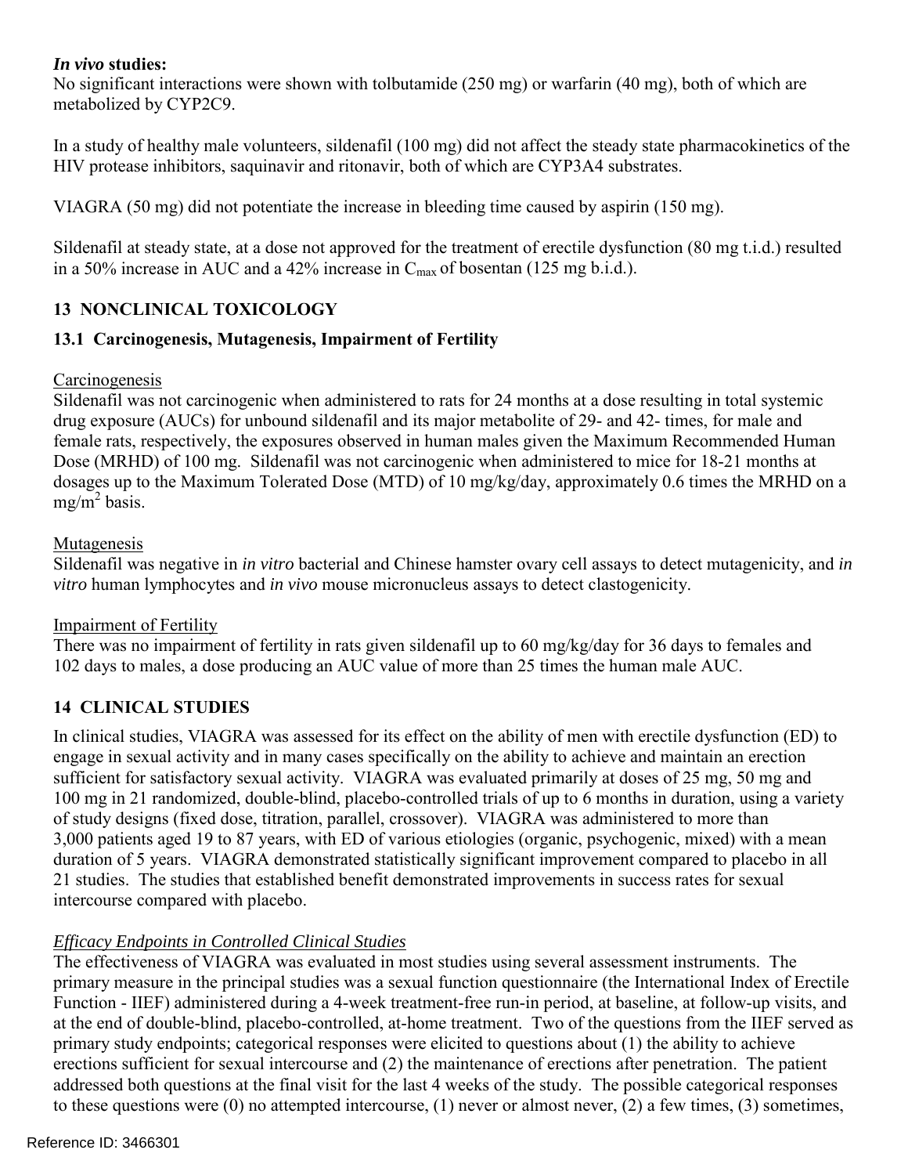#### *In vivo* **studies:**

No significant interactions were shown with tolbutamide (250 mg) or warfarin (40 mg), both of which are metabolized by CYP2C9.

In a study of healthy male volunteers, sildenafil (100 mg) did not affect the steady state pharmacokinetics of the HIV protease inhibitors, saquinavir and ritonavir, both of which are CYP3A4 substrates.

VIAGRA (50 mg) did not potentiate the increase in bleeding time caused by aspirin (150 mg).

Sildenafil at steady state, at a dose not approved for the treatment of erectile dysfunction (80 mg t.i.d.) resulted in a 50% increase in AUC and a 42% increase in  $C_{\text{max}}$  of bosentan (125 mg b.i.d.).

## **13 NONCLINICAL TOXICOLOGY**

#### **13.1 Carcinogenesis, Mutagenesis, Impairment of Fertility**

#### **Carcinogenesis**

 drug exposure (AUCs) for unbound sildenafil and its major metabolite of 29- and 42- times, for male and Dose (MRHD) of 100 mg. Sildenafil was not carcinogenic when administered to mice for 18-21 months at dosages up to the Maximum Tolerated Dose (MTD) of 10 mg/kg/day, approximately 0.6 times the MRHD on a mg/m<sup>2</sup> basis. Sildenafil was not carcinogenic when administered to rats for 24 months at a dose resulting in total systemic female rats, respectively, the exposures observed in human males given the Maximum Recommended Human

#### Mutagenesis

Sildenafil was negative in *in vitro* bacterial and Chinese hamster ovary cell assays to detect mutagenicity, and *in vitro* human lymphocytes and *in vivo* mouse micronucleus assays to detect clastogenicity.

#### Impairment of Fertility

There was no impairment of fertility in rats given sildenafil up to 60 mg/kg/day for 36 days to females and 102 days to males, a dose producing an AUC value of more than 25 times the human male AUC.

#### **14 CLINICAL STUDIES**

 engage in sexual activity and in many cases specifically on the ability to achieve and maintain an erection sufficient for satisfactory sexual activity. VIAGRA was evaluated primarily at doses of 25 mg, 50 mg and 21 studies. The studies that established benefit demonstrated improvements in success rates for sexual In clinical studies, VIAGRA was assessed for its effect on the ability of men with erectile dysfunction (ED) to 100 mg in 21 randomized, double-blind, placebo-controlled trials of up to 6 months in duration, using a variety of study designs (fixed dose, titration, parallel, crossover). VIAGRA was administered to more than 3,000 patients aged 19 to 87 years, with ED of various etiologies (organic, psychogenic, mixed) with a mean duration of 5 years. VIAGRA demonstrated statistically significant improvement compared to placebo in all intercourse compared with placebo.

#### *Efficacy Endpoints in Controlled Clinical Studies*

 Function - IIEF) administered during a 4-week treatment-free run-in period, at baseline, at follow-up visits, and at the end of double-blind, placebo-controlled, at-home treatment. Two of the questions from the IIEF served as erections sufficient for sexual intercourse and (2) the maintenance of erections after penetration. The patient addressed both questions at the final visit for the last 4 weeks of the study. The possible categorical responses The effectiveness of VIAGRA was evaluated in most studies using several assessment instruments. The primary measure in the principal studies was a sexual function questionnaire (the International Index of Erectile primary study endpoints; categorical responses were elicited to questions about (1) the ability to achieve to these questions were (0) no attempted intercourse, (1) never or almost never, (2) a few times, (3) sometimes,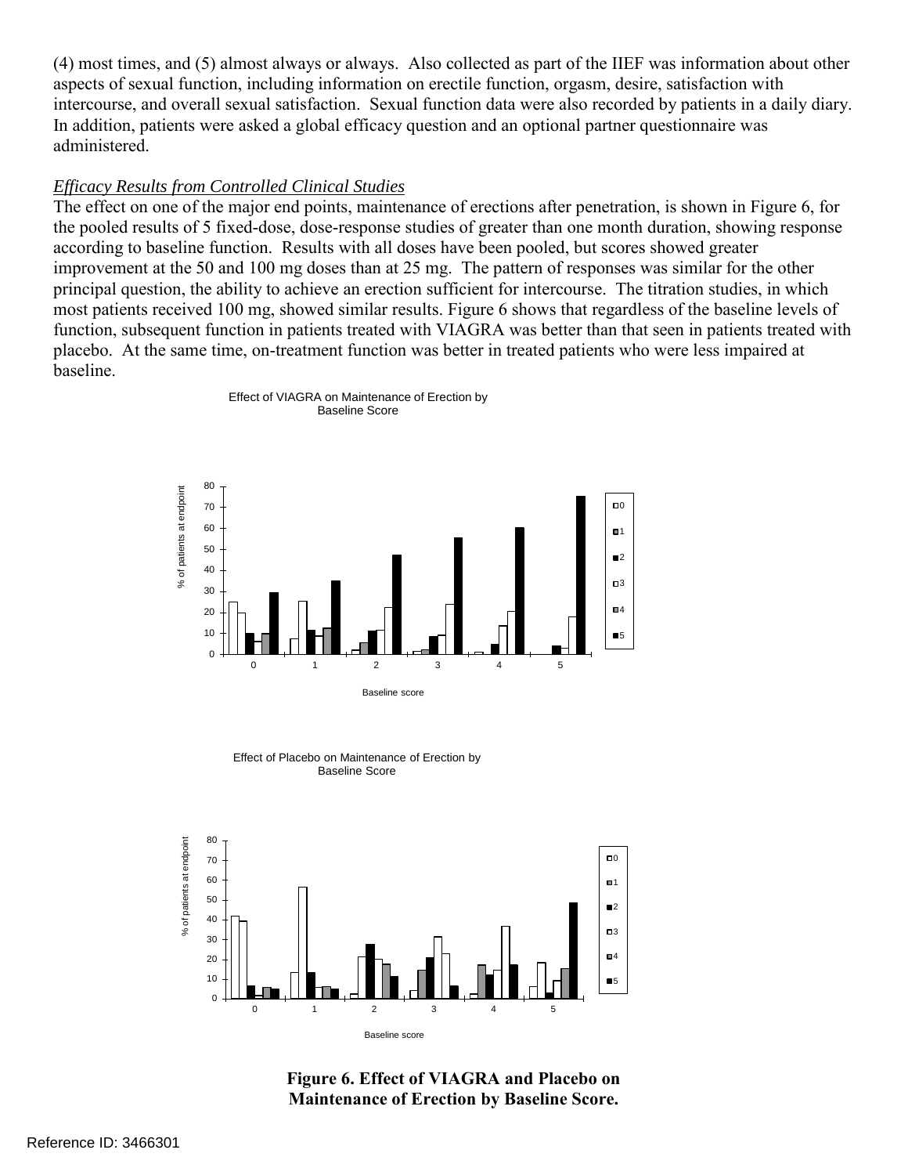(4) most times, and (5) almost always or always. Also collected as part of the IIEF was information about other intercourse, and overall sexual satisfaction. Sexual function data were also recorded by patients in a daily diary. aspects of sexual function, including information on erectile function, orgasm, desire, satisfaction with In addition, patients were asked a global efficacy question and an optional partner questionnaire was administered.

#### *Efficacy Results from Controlled Clinical Studies*

 most patients received 100 mg, showed similar results. Figure 6 shows that regardless of the baseline levels of The effect on one of the major end points, maintenance of erections after penetration, is shown in Figure 6, for the pooled results of 5 fixed-dose, dose-response studies of greater than one month duration, showing response according to baseline function. Results with all doses have been pooled, but scores showed greater improvement at the 50 and 100 mg doses than at 25 mg. The pattern of responses was similar for the other principal question, the ability to achieve an erection sufficient for intercourse. The titration studies, in which function, subsequent function in patients treated with VIAGRA was better than that seen in patients treated with placebo. At the same time, on-treatment function was better in treated patients who were less impaired at baseline.



Baseline Score

Effect of VIAGRA on Maintenance of Erection by

Effect of Placebo on Maintenance of Erection by Baseline Score



 **Figure 6. Effect of VIAGRA and Placebo on Maintenance of Erection by Baseline Score.**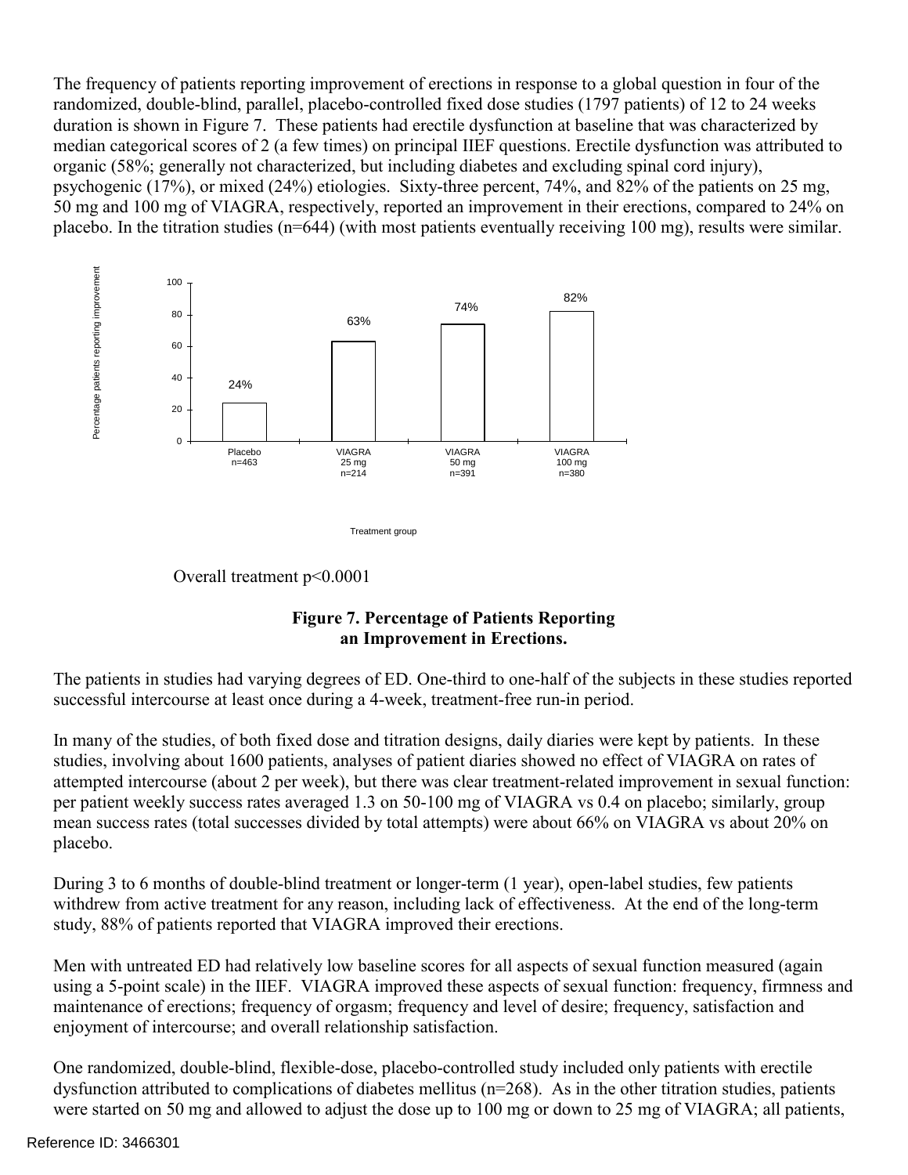The frequency of patients reporting improvement of erections in response to a global question in four of the duration is shown in Figure 7. These patients had erectile dysfunction at baseline that was characterized by organic (58%; generally not characterized, but including diabetes and excluding spinal cord injury), 50 mg and 100 mg of VIAGRA, respectively, reported an improvement in their erections, compared to 24% on randomized, double-blind, parallel, placebo-controlled fixed dose studies (1797 patients) of 12 to 24 weeks median categorical scores of 2 (a few times) on principal IIEF questions. Erectile dysfunction was attributed to psychogenic (17%), or mixed (24%) etiologies. Sixty-three percent, 74%, and 82% of the patients on 25 mg, placebo. In the titration studies (n=644) (with most patients eventually receiving 100 mg), results were similar.



Treatment group



#### **Figure 7. Percentage of Patients Reporting an Improvement in Erections.**

The patients in studies had varying degrees of ED. One-third to one-half of the subjects in these studies reported successful intercourse at least once during a 4-week, treatment-free run-in period.

 In many of the studies, of both fixed dose and titration designs, daily diaries were kept by patients. In these per patient weekly success rates averaged 1.3 on 50-100 mg of VIAGRA vs 0.4 on placebo; similarly, group studies, involving about 1600 patients, analyses of patient diaries showed no effect of VIAGRA on rates of attempted intercourse (about 2 per week), but there was clear treatment-related improvement in sexual function: mean success rates (total successes divided by total attempts) were about 66% on VIAGRA vs about 20% on placebo.

 During 3 to 6 months of double-blind treatment or longer-term (1 year), open-label studies, few patients withdrew from active treatment for any reason, including lack of effectiveness. At the end of the long-term study, 88% of patients reported that VIAGRA improved their erections.

 using a 5-point scale) in the IIEF. VIAGRA improved these aspects of sexual function: frequency, firmness and Men with untreated ED had relatively low baseline scores for all aspects of sexual function measured (again maintenance of erections; frequency of orgasm; frequency and level of desire; frequency, satisfaction and enjoyment of intercourse; and overall relationship satisfaction.

 dysfunction attributed to complications of diabetes mellitus (n=268). As in the other titration studies, patients One randomized, double-blind, flexible-dose, placebo-controlled study included only patients with erectile were started on 50 mg and allowed to adjust the dose up to 100 mg or down to 25 mg of VIAGRA; all patients,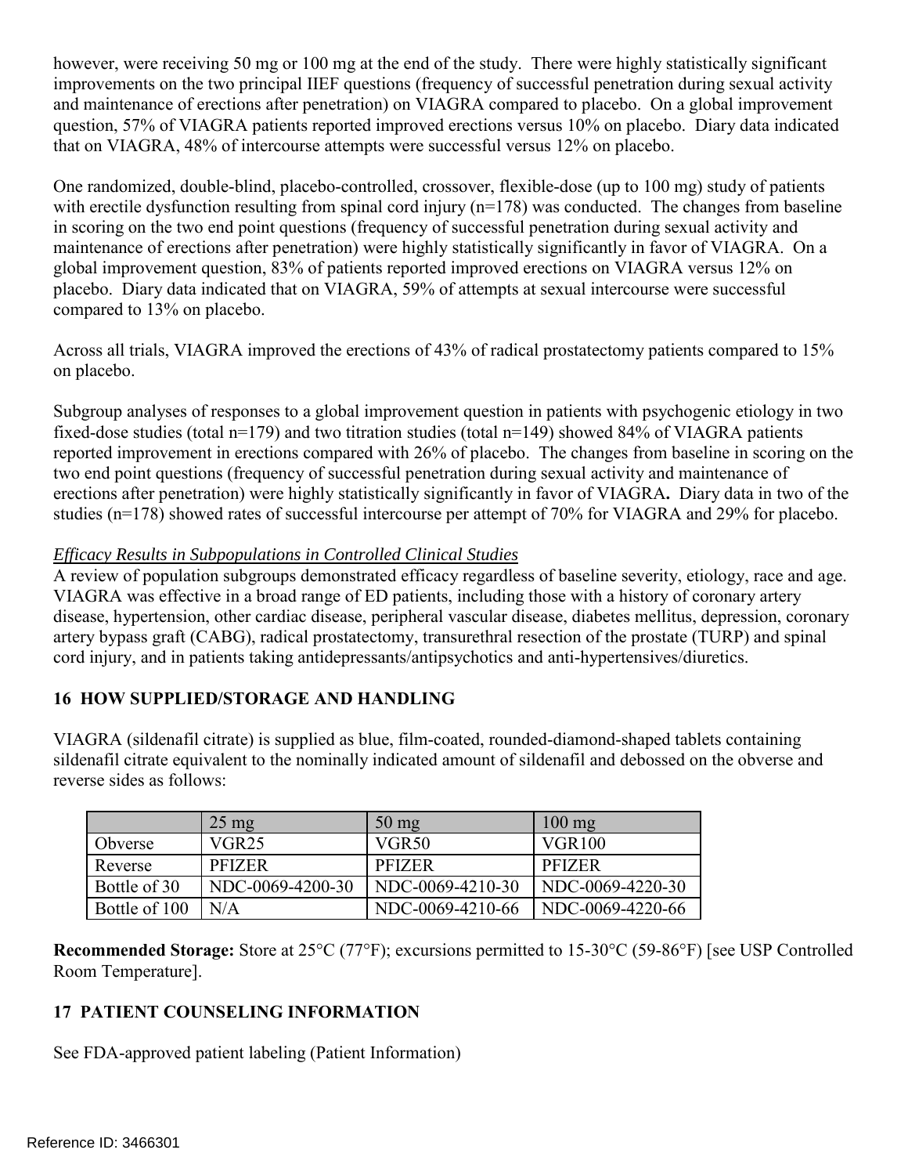however, were receiving 50 mg or 100 mg at the end of the study. There were highly statistically significant and maintenance of erections after penetration) on VIAGRA compared to placebo. On a global improvement improvements on the two principal IIEF questions (frequency of successful penetration during sexual activity question, 57% of VIAGRA patients reported improved erections versus 10% on placebo. Diary data indicated that on VIAGRA, 48% of intercourse attempts were successful versus 12% on placebo.

 placebo. Diary data indicated that on VIAGRA, 59% of attempts at sexual intercourse were successful One randomized, double-blind, placebo-controlled, crossover, flexible-dose (up to 100 mg) study of patients with erectile dysfunction resulting from spinal cord injury  $(n=178)$  was conducted. The changes from baseline in scoring on the two end point questions (frequency of successful penetration during sexual activity and maintenance of erections after penetration) were highly statistically significantly in favor of VIAGRA. On a global improvement question, 83% of patients reported improved erections on VIAGRA versus 12% on compared to 13% on placebo.

Across all trials, VIAGRA improved the erections of 43% of radical prostatectomy patients compared to 15% on placebo.

 erections after penetration) were highly statistically significantly in favor of VIAGRA**.** Diary data in two of the Subgroup analyses of responses to a global improvement question in patients with psychogenic etiology in two fixed-dose studies (total n=179) and two titration studies (total n=149) showed 84% of VIAGRA patients reported improvement in erections compared with 26% of placebo. The changes from baseline in scoring on the two end point questions (frequency of successful penetration during sexual activity and maintenance of studies (n=178) showed rates of successful intercourse per attempt of 70% for VIAGRA and 29% for placebo.

## *Efficacy Results in Subpopulations in Controlled Clinical Studies*

A review of population subgroups demonstrated efficacy regardless of baseline severity, etiology, race and age. VIAGRA was effective in a broad range of ED patients, including those with a history of coronary artery disease, hypertension, other cardiac disease, peripheral vascular disease, diabetes mellitus, depression, coronary artery bypass graft (CABG), radical prostatectomy, transurethral resection of the prostate (TURP) and spinal cord injury, and in patients taking antidepressants/antipsychotics and anti-hypertensives/diuretics.

## **16 HOW SUPPLIED/STORAGE AND HANDLING**

VIAGRA (sildenafil citrate) is supplied as blue, film-coated, rounded-diamond-shaped tablets containing sildenafil citrate equivalent to the nominally indicated amount of sildenafil and debossed on the obverse and reverse sides as follows:

|               | $25 \text{ mg}$   | $50 \text{ mg}$   | $100 \text{ mg}$   |
|---------------|-------------------|-------------------|--------------------|
| Obverse       | VGR <sub>25</sub> | VGR <sub>50</sub> | VGR <sub>100</sub> |
| Reverse       | <b>PFIZER</b>     | <b>PFIZER</b>     | <b>PFIZER</b>      |
| Bottle of 30  | NDC-0069-4200-30  | NDC-0069-4210-30  | NDC-0069-4220-30   |
| Bottle of 100 | N/A               | NDC-0069-4210-66  | NDC-0069-4220-66   |

**Recommended Storage:** Store at 25°C (77°F); excursions permitted to 15-30°C (59-86°F) [see USP Controlled Room Temperature].

## **17 PATIENT COUNSELING INFORMATION**

See FDA-approved patient labeling (Patient Information)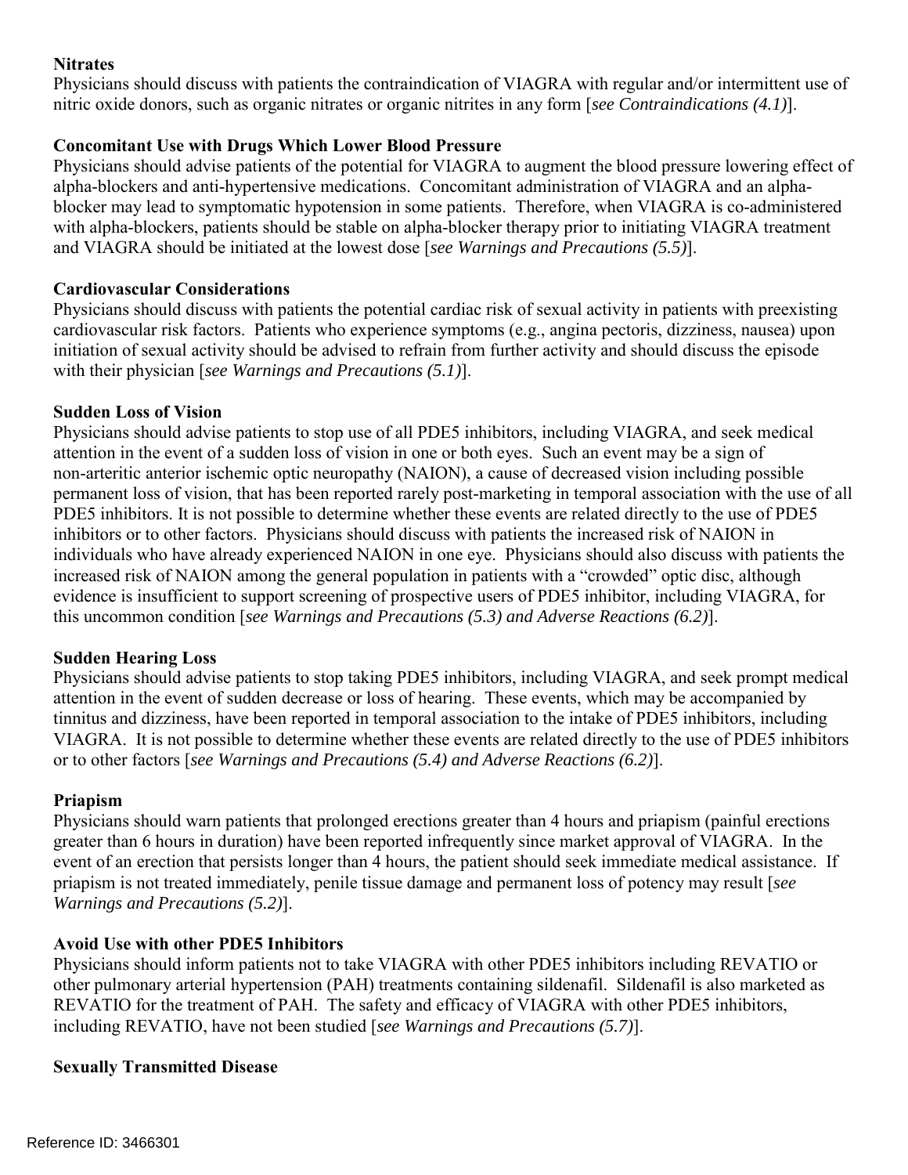#### **Nitrates**

 nitric oxide donors, such as organic nitrates or organic nitrites in any form [*see Contraindications (4.1)*]. Physicians should discuss with patients the contraindication of VIAGRA with regular and/or intermittent use of

#### **Concomitant Use with Drugs Which Lower Blood Pressure**

Physicians should advise patients of the potential for VIAGRA to augment the blood pressure lowering effect of alpha-blockers and anti-hypertensive medications. Concomitant administration of VIAGRA and an alphablocker may lead to symptomatic hypotension in some patients. Therefore, when VIAGRA is co-administered with alpha-blockers, patients should be stable on alpha-blocker therapy prior to initiating VIAGRA treatment and VIAGRA should be initiated at the lowest dose [*see Warnings and Precautions (5.5)*].

#### **Cardiovascular Considerations**

Physicians should discuss with patients the potential cardiac risk of sexual activity in patients with preexisting cardiovascular risk factors. Patients who experience symptoms (e.g., angina pectoris, dizziness, nausea) upon initiation of sexual activity should be advised to refrain from further activity and should discuss the episode with their physician [*see Warnings and Precautions (5.1)*].

#### **Sudden Loss of Vision**

 attention in the event of a sudden loss of vision in one or both eyes. Such an event may be a sign of this uncommon condition [*see Warnings and Precautions (5.3) and Adverse Reactions (6.2)*]. Physicians should advise patients to stop use of all PDE5 inhibitors, including VIAGRA, and seek medical non-arteritic anterior ischemic optic neuropathy (NAION), a cause of decreased vision including possible permanent loss of vision, that has been reported rarely post-marketing in temporal association with the use of all PDE5 inhibitors. It is not possible to determine whether these events are related directly to the use of PDE5 inhibitors or to other factors. Physicians should discuss with patients the increased risk of NAION in individuals who have already experienced NAION in one eye. Physicians should also discuss with patients the increased risk of NAION among the general population in patients with a "crowded" optic disc, although evidence is insufficient to support screening of prospective users of PDE5 inhibitor, including VIAGRA, for

## **Sudden Hearing Loss**

 VIAGRA. It is not possible to determine whether these events are related directly to the use of PDE5 inhibitors Physicians should advise patients to stop taking PDE5 inhibitors, including VIAGRA, and seek prompt medical attention in the event of sudden decrease or loss of hearing. These events, which may be accompanied by tinnitus and dizziness, have been reported in temporal association to the intake of PDE5 inhibitors, including or to other factors [*see Warnings and Precautions (5.4) and Adverse Reactions (6.2)*].

#### **Priapism**

 greater than 6 hours in duration) have been reported infrequently since market approval of VIAGRA. In the event of an erection that persists longer than 4 hours, the patient should seek immediate medical assistance. If Physicians should warn patients that prolonged erections greater than 4 hours and priapism (painful erections priapism is not treated immediately, penile tissue damage and permanent loss of potency may result [*see Warnings and Precautions (5.2)*].

#### **Avoid Use with other PDE5 Inhibitors**

 other pulmonary arterial hypertension (PAH) treatments containing sildenafil. Sildenafil is also marketed as REVATIO for the treatment of PAH. The safety and efficacy of VIAGRA with other PDE5 inhibitors, Physicians should inform patients not to take VIAGRA with other PDE5 inhibitors including REVATIO or including REVATIO, have not been studied [*see Warnings and Precautions (5.7)*].

#### **Sexually Transmitted Disease**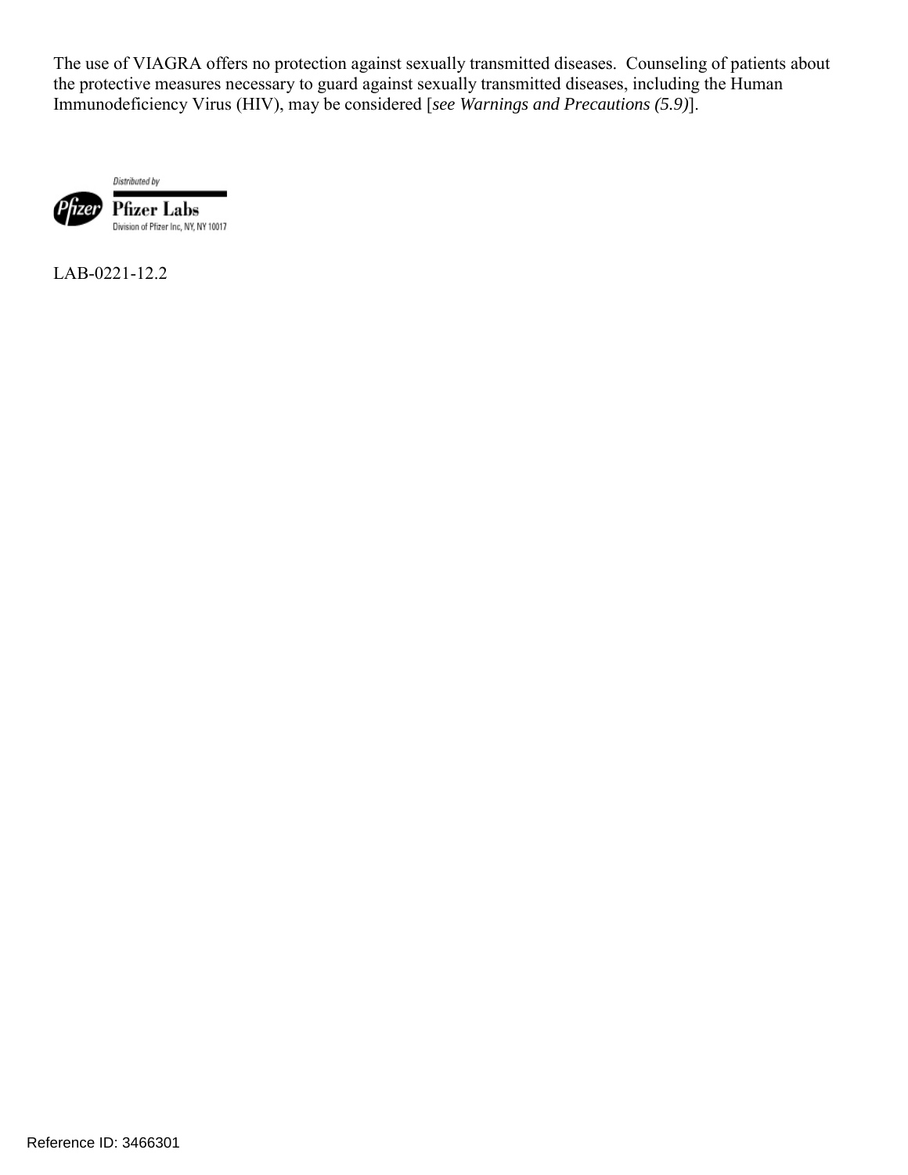The use of VIAGRA offers no protection against sexually transmitted diseases. Counseling of patients about the protective measures necessary to guard against sexually transmitted diseases, including the Human Immunodeficiency Virus (HIV), may be considered [*see Warnings and Precautions (5.9)*].

Distributed by **Pfizer Labs** Division of Pfizer Inc, NY, NY 10017

LAB-0221-12.2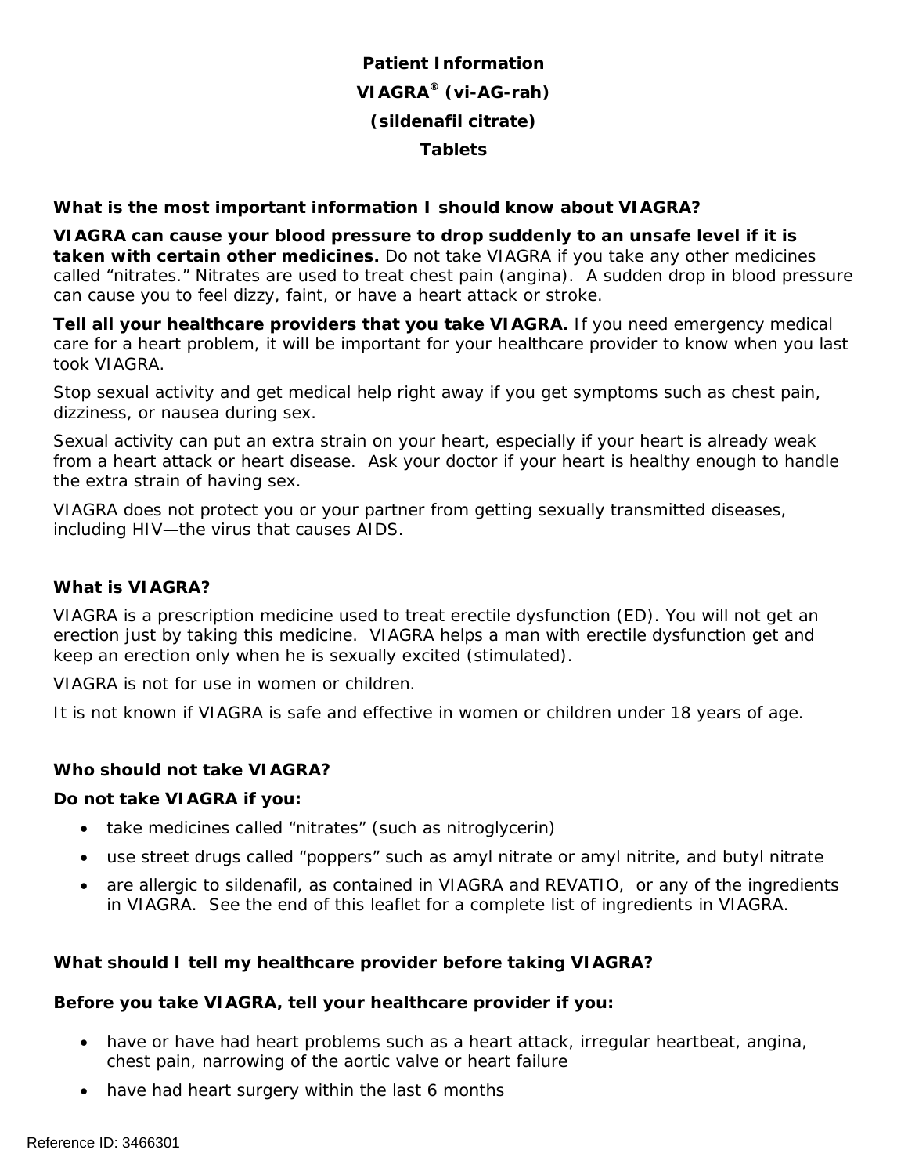## **Patient Information VIAGRA® (vi-AG-rah) (sildenafil citrate) Tablets**

#### **What is the most important information I should know about VIAGRA?**

 called "nitrates." Nitrates are used to treat chest pain (angina). A sudden drop in blood pressure **VIAGRA can cause your blood pressure to drop suddenly to an unsafe level if it is taken with certain other medicines.** Do not take VIAGRA if you take any other medicines can cause you to feel dizzy, faint, or have a heart attack or stroke.

 **Tell all your healthcare providers that you take VIAGRA.** If you need emergency medical care for a heart problem, it will be important for your healthcare provider to know when you last took VIAGRA.

Stop sexual activity and get medical help right away if you get symptoms such as chest pain, dizziness, or nausea during sex.

Sexual activity can put an extra strain on your heart, especially if your heart is already weak from a heart attack or heart disease. Ask your doctor if your heart is healthy enough to handle the extra strain of having sex.

VIAGRA does not protect you or your partner from getting sexually transmitted diseases, including HIV—the virus that causes AIDS.

#### **What is VIAGRA?**

VIAGRA is a prescription medicine used to treat erectile dysfunction (ED). You will not get an erection just by taking this medicine. VIAGRA helps a man with erectile dysfunction get and keep an erection only when he is sexually excited (stimulated).

VIAGRA is not for use in women or children.

It is not known if VIAGRA is safe and effective in women or children under 18 years of age.

#### **Who should not take VIAGRA?**

#### **Do not take VIAGRA if you:**

- take medicines called "nitrates" (such as nitroglycerin)
- use street drugs called "poppers" such as amyl nitrate or amyl nitrite, and butyl nitrate
- in VIAGRA. See the end of this leaflet for a complete list of ingredients in VIAGRA. • are allergic to sildenafil, as contained in VIAGRA and REVATIO, or any of the ingredients

#### **What should I tell my healthcare provider before taking VIAGRA?**

#### **Before you take VIAGRA, tell your healthcare provider if you:**

- have or have had heart problems such as a heart attack, irregular heartbeat, angina, chest pain, narrowing of the aortic valve or heart failure
- have had heart surgery within the last 6 months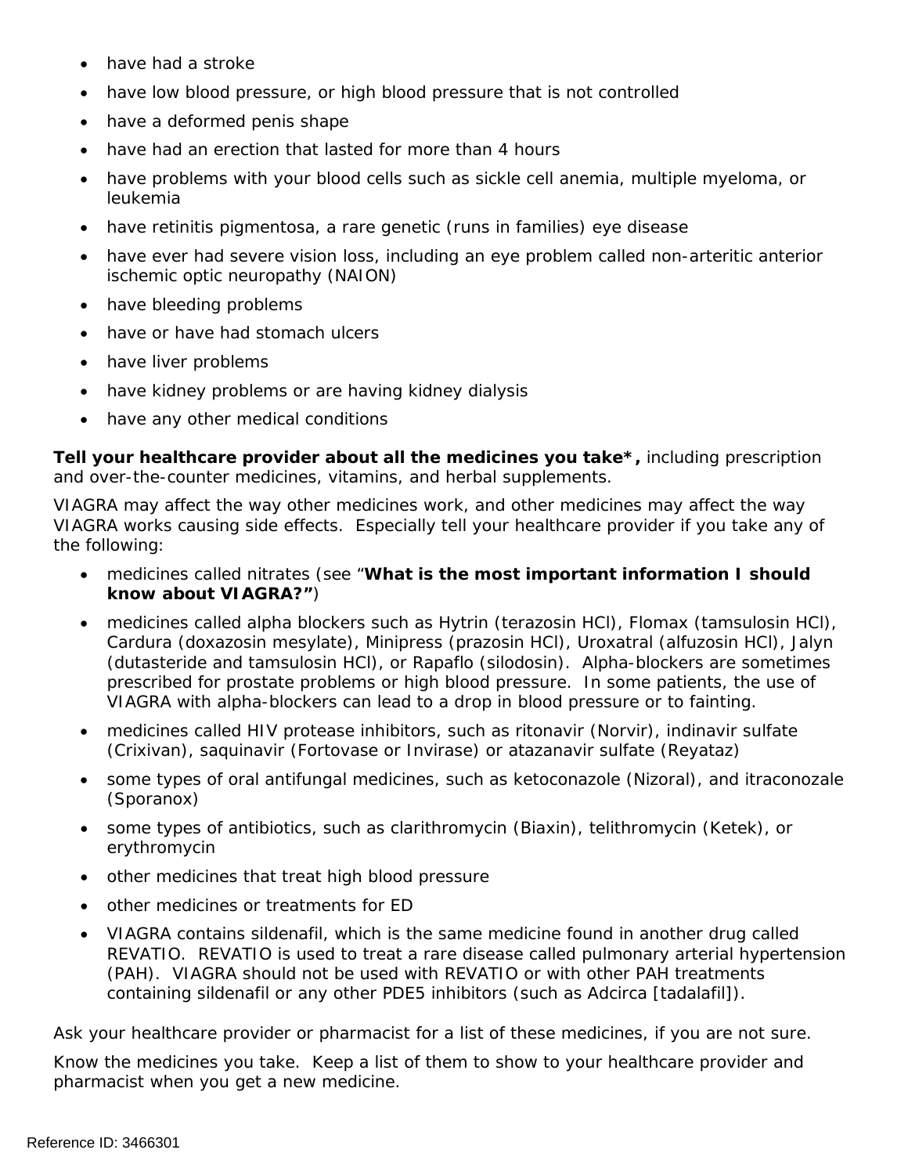- have had a stroke
- have low blood pressure, or high blood pressure that is not controlled
- have a deformed penis shape
- have had an erection that lasted for more than 4 hours
- have problems with your blood cells such as sickle cell anemia, multiple myeloma, or leukemia
- have retinitis pigmentosa, a rare genetic (runs in families) eye disease
- have ever had severe vision loss, including an eye problem called non-arteritic anterior ischemic optic neuropathy (NAION)
- have bleeding problems
- have or have had stomach ulcers
- have liver problems
- have kidney problems or are having kidney dialysis
- have any other medical conditions

**Tell your healthcare provider about all the medicines you take\*,** including prescription and over-the-counter medicines, vitamins, and herbal supplements.

VIAGRA may affect the way other medicines work, and other medicines may affect the way VIAGRA works causing side effects. Especially tell your healthcare provider if you take any of the following:

- • medicines called nitrates (see "**What is the most important information I should know about VIAGRA?"**)
- medicines called alpha blockers such as Hytrin (terazosin HCl), Flomax (tamsulosin HCl), Cardura (doxazosin mesylate), Minipress (prazosin HCl), Uroxatral (alfuzosin HCl), Jalyn (dutasteride and tamsulosin HCl), or Rapaflo (silodosin). Alpha-blockers are sometimes prescribed for prostate problems or high blood pressure. In some patients, the use of VIAGRA with alpha-blockers can lead to a drop in blood pressure or to fainting.
- medicines called HIV protease inhibitors, such as ritonavir (Norvir), indinavir sulfate (Crixivan), saquinavir (Fortovase or Invirase) or atazanavir sulfate (Reyataz)
- some types of oral antifungal medicines, such as ketoconazole (Nizoral), and itraconozale (Sporanox)
- some types of antibiotics, such as clarithromycin (Biaxin), telithromycin (Ketek), or erythromycin
- other medicines that treat high blood pressure
- other medicines or treatments for ED
- VIAGRA contains sildenafil, which is the same medicine found in another drug called REVATIO. REVATIO is used to treat a rare disease called pulmonary arterial hypertension (PAH). VIAGRA should not be used with REVATIO or with other PAH treatments containing sildenafil or any other PDE5 inhibitors (such as Adcirca [tadalafil]).

Ask your healthcare provider or pharmacist for a list of these medicines, if you are not sure.

Know the medicines you take. Keep a list of them to show to your healthcare provider and pharmacist when you get a new medicine.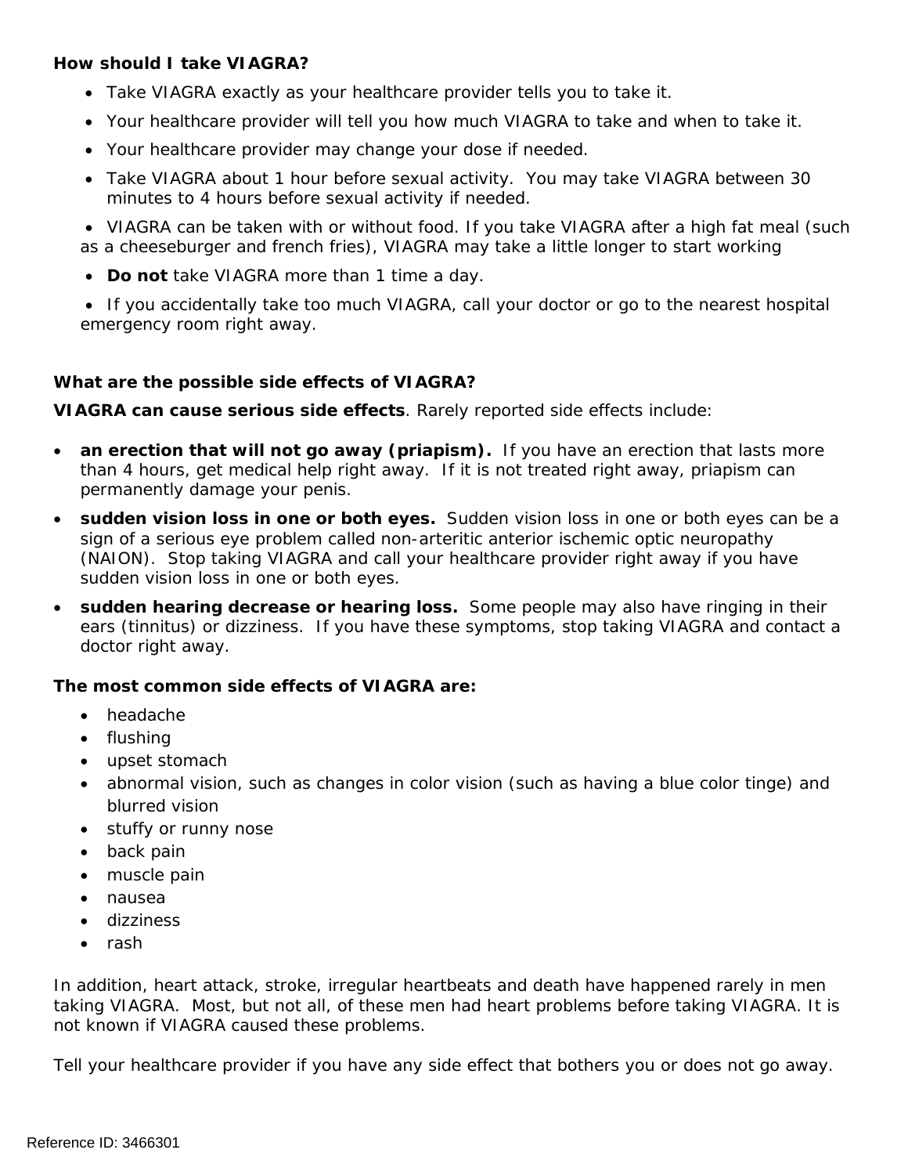#### **How should I take VIAGRA?**

- Take VIAGRA exactly as your healthcare provider tells you to take it.
- Your healthcare provider will tell you how much VIAGRA to take and when to take it.
- • Your healthcare provider may change your dose if needed.
- minutes to 4 hours before sexual activity if needed. • Take VIAGRA about 1 hour before sexual activity. You may take VIAGRA between 30

• VIAGRA can be taken with or without food. If you take VIAGRA after a high fat meal (such as a cheeseburger and french fries), VIAGRA may take a little longer to start working

• **Do not** take VIAGRA more than 1 time a day.

• If you accidentally take too much VIAGRA, call your doctor or go to the nearest hospital emergency room right away.

#### **What are the possible side effects of VIAGRA?**

**VIAGRA can cause serious side effects**. Rarely reported side effects include:

- an erection that will not go away (priapism). If you have an erection that lasts more than 4 hours, get medical help right away. If it is not treated right away, priapism can permanently damage your penis.
- **sudden vision loss in one or both eyes.** Sudden vision loss in one or both eyes can be a sudden vision loss in one or both eyes. sign of a serious eye problem called non-arteritic anterior ischemic optic neuropathy (NAION). Stop taking VIAGRA and call your healthcare provider right away if you have
- **sudden hearing decrease or hearing loss.** Some people may also have ringing in their ears (tinnitus) or dizziness. If you have these symptoms, stop taking VIAGRA and contact a doctor right away.

#### **The most common side effects of VIAGRA are:**

- headache
- flushing
- upset stomach
- abnormal vision, such as changes in color vision (such as having a blue color tinge) and blurred vision
- stuffy or runny nose
- back pain
- muscle pain
- nausea
- dizziness
- rash

In addition, heart attack, stroke, irregular heartbeats and death have happened rarely in men taking VIAGRA. Most, but not all, of these men had heart problems before taking VIAGRA. It is not known if VIAGRA caused these problems.

Tell your healthcare provider if you have any side effect that bothers you or does not go away.